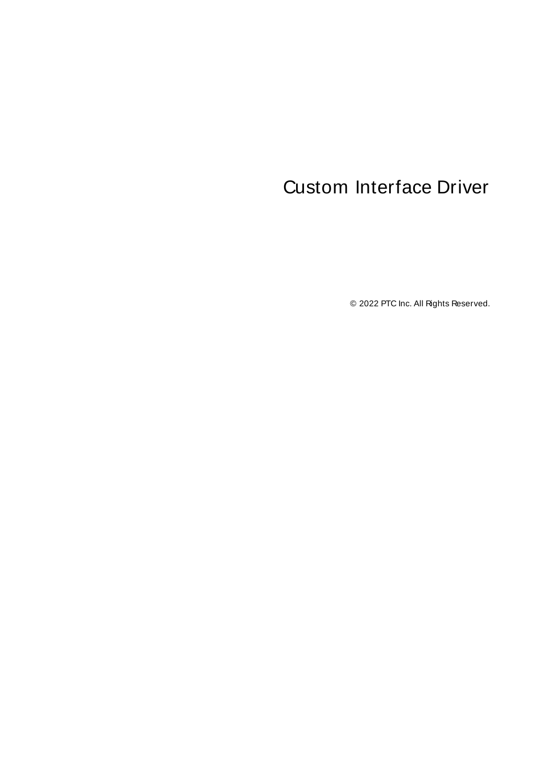# <span id="page-0-0"></span>Custom Interface Driver

© 2022 PTC Inc. All Rights Reserved.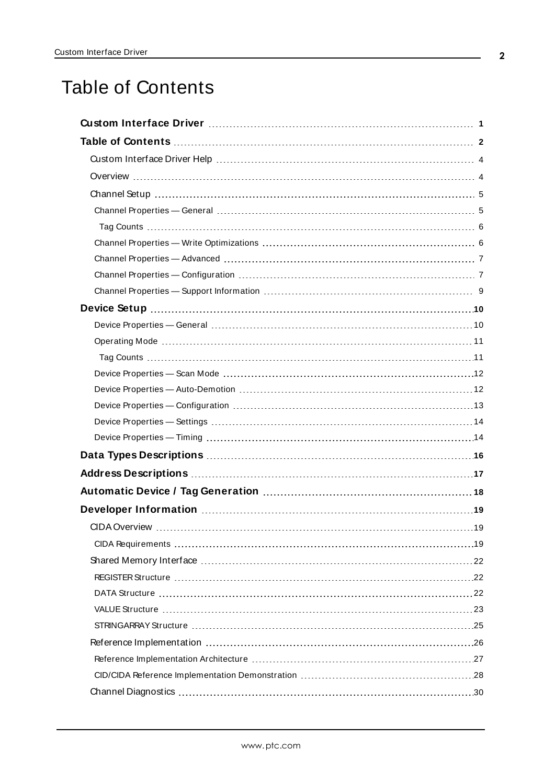# <span id="page-1-0"></span>Table of Contents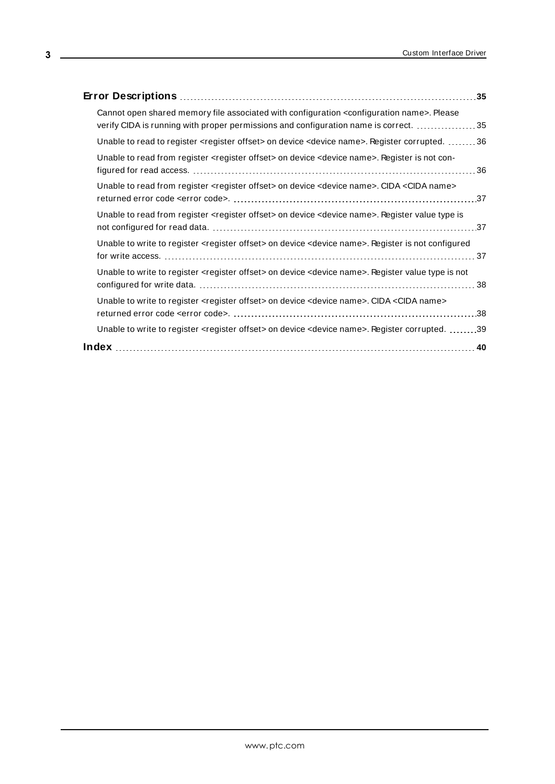| Cannot open shared memory file associated with configuration <configuration name="">. Please<br/>verify CIDA is running with proper permissions and configuration name is correct. 35</configuration> |
|-------------------------------------------------------------------------------------------------------------------------------------------------------------------------------------------------------|
| Unable to read to register <register offset=""> on device <device name="">. Register corrupted. 36</device></register>                                                                                |
| Unable to read from register <register offset=""> on device <device name="">. Register is not con-</device></register>                                                                                |
| Unable to read from register <register offset=""> on device <device name="">. CIDA <cida name=""></cida></device></register>                                                                          |
| Unable to read from register <register offset=""> on device <device name="">. Register value type is</device></register>                                                                              |
| Unable to write to register <register offset=""> on device <device name="">. Register is not configured</device></register>                                                                           |
| Unable to write to register <register offset=""> on device <device name="">. Register value type is not</device></register>                                                                           |
| Unable to write to register <register offset=""> on device <device name="">. CIDA <cida name=""></cida></device></register>                                                                           |
| Unable to write to register <register offset=""> on device <device name="">. Register corrupted. 39</device></register>                                                                               |
|                                                                                                                                                                                                       |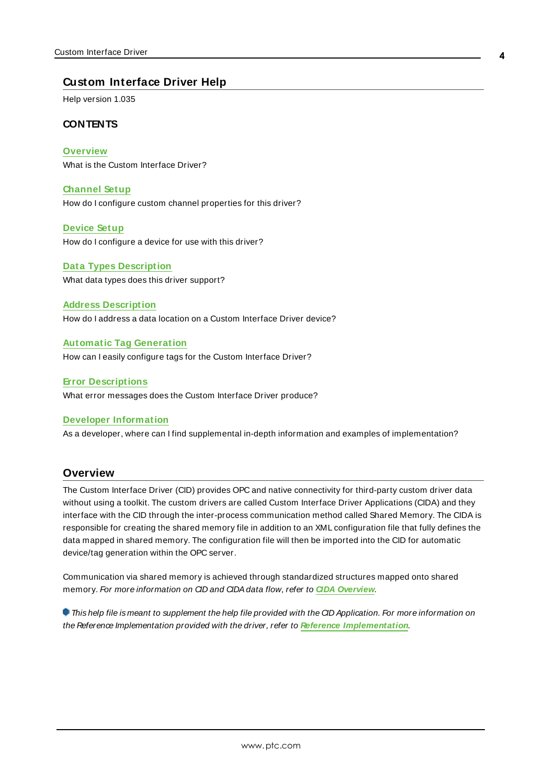## <span id="page-3-0"></span>**Custom Interface Driver Help**

Help version 1.035

#### **CONTENTS**

**[Overview](#page-3-1)** What is the Custom Interface Driver?

**[Channel](#page-4-0) Setup** How do I configure custom channel properties for this driver?

**[Device](#page-9-0) Setup** How do I configure a device for use with this driver?

**Data Types [Description](#page-15-0)** What data types does this driver support?

**Address [Description](#page-16-0)** How do I address a data location on a Custom Interface Driver device?

**Automatic Tag [Generation](#page-17-0)**

How can I easily configure tags for the Custom Interface Driver?

**Error [Descriptions](#page-34-0)**

What error messages does the Custom Interface Driver produce?

#### **Developer [Information](#page-18-0)**

As a developer, where can I find supplemental in-depth information and examples of implementation?

#### <span id="page-3-1"></span>**Overview**

The Custom Interface Driver (CID) provides OPC and native connectivity for third-party custom driver data without using a toolkit. The custom drivers are called Custom Interface Driver Applications (CIDA) and they interface with the CID through the inter-process communication method called Shared Memory. The CIDA is responsible for creating the shared memory file in addition to an XML configuration file that fully defines the data mapped in shared memory. The configuration file will then be imported into the CID for automatic device/tag generation within the OPC server.

Communication via shared memory is achieved through standardized structures mapped onto shared memory. For more information on CID and CIDAdata flow, refer to **CIDA [Overview](#page-18-1)**.

This help file is meant to supplement the help file provided with the CID Application. For more information on the Reference Implementation provided with the driver, refer to **Reference [Implementation](#page-25-0)**.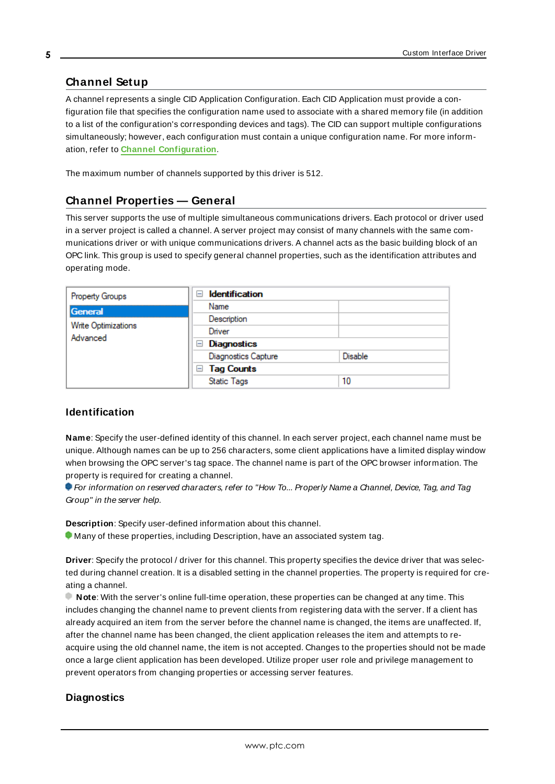## <span id="page-4-0"></span>**Channel Setup**

A channel represents a single CID Application Configuration. Each CID Application must provide a configuration file that specifies the configuration name used to associate with a shared memory file (in addition to a list of the configuration's corresponding devices and tags). The CID can support multiple configurations simultaneously; however, each configuration must contain a unique configuration name. For more information, refer to **Channel [Configuration](#page-6-1)**.

<span id="page-4-1"></span>The maximum number of channels supported by this driver is 512.

#### **Channel Properties — General**

This server supports the use of multiple simultaneous communications drivers. Each protocol or driver used in a server project is called a channel. A server project may consist of many channels with the same communications driver or with unique communications drivers. A channel acts as the basic building block of an OPC link. This group is used to specify general channel properties, such as the identification attributes and operating mode.

|  | Property Groups            | $\overline{}$      | <b>Identification</b>      |         |
|--|----------------------------|--------------------|----------------------------|---------|
|  | General                    |                    | Name                       |         |
|  | <b>Write Optimizations</b> |                    | Description                |         |
|  | Advanced                   |                    | Driver                     |         |
|  | $=$                        | <b>Diagnostics</b> |                            |         |
|  |                            |                    | <b>Diagnostics Capture</b> | Disable |
|  |                            |                    | $\Box$ Tag Counts          |         |
|  |                            |                    | <b>Static Tags</b>         | 10      |
|  |                            |                    |                            |         |

### <span id="page-4-3"></span>**Identification**

**Name**: Specify the user-defined identity of this channel. In each server project, each channel name must be unique. Although names can be up to 256 characters, some client applications have a limited display window when browsing the OPC server's tag space. The channel name is part of the OPC browser information. The property is required for creating a channel.

For information on reserved characters, refer to "How To... Properly Name a Channel, Device, Tag, and Tag Group" in the server help.

**Description**: Specify user-defined information about this channel.

Many of these properties, including Description, have an associated system tag.

**Driver**: Specify the protocol / driver for this channel. This property specifies the device driver that was selected during channel creation. It is a disabled setting in the channel properties. The property is required for creating a channel.

**Note**: With the server's online full-time operation, these properties can be changed at any time. This includes changing the channel name to prevent clients from registering data with the server. If a client has already acquired an item from the server before the channel name is changed, the items are unaffected. If, after the channel name has been changed, the client application releases the item and attempts to reacquire using the old channel name, the item is not accepted. Changes to the properties should not be made once a large client application has been developed. Utilize proper user role and privilege management to prevent operators from changing properties or accessing server features.

#### <span id="page-4-2"></span>**Diagnostics**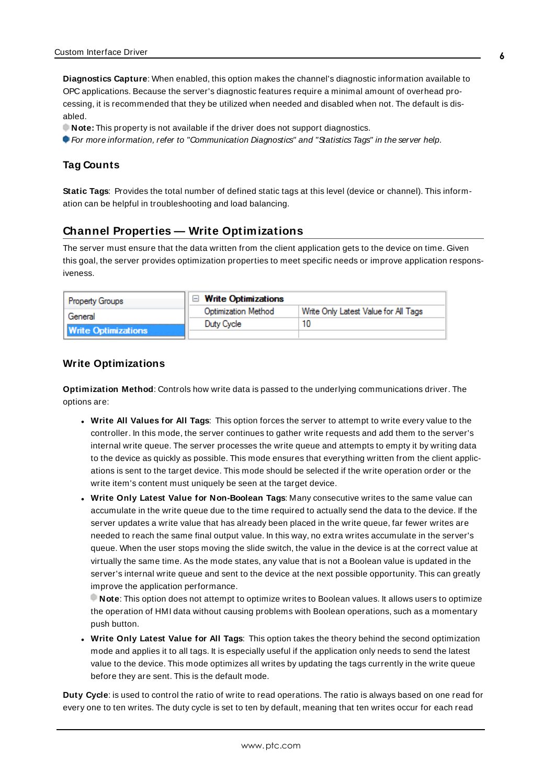**Diagnostics Capture**: When enabled, this option makes the channel's diagnostic information available to OPC applications. Because the server's diagnostic features require a minimal amount of overhead processing, it is recommended that they be utilized when needed and disabled when not. The default is disabled.

**Note:** This property is not available if the driver does not support diagnostics.

<span id="page-5-0"></span>For more information, refer to "Communication Diagnostics" and "Statistics Tags" in the server help.

#### **Tag Counts**

**Static Tags**: Provides the total number of defined static tags at this level (device or channel). This information can be helpful in troubleshooting and load balancing.

### <span id="page-5-1"></span>**Channel Properties — Write Optimizations**

The server must ensure that the data written from the client application gets to the device on time. Given this goal, the server provides optimization properties to meet specific needs or improve application responsiveness.

| <b>Property Groups</b>     | $\Box$ Write Optimizations |                                      |
|----------------------------|----------------------------|--------------------------------------|
| General                    | <b>Optimization Method</b> | Write Only Latest Value for All Tags |
|                            | Duty Cycle                 |                                      |
| <b>Write Optimizations</b> |                            |                                      |

### <span id="page-5-3"></span><span id="page-5-2"></span>**Write Optimizations**

**Optimization Method**: Controls how write data is passed to the underlying communications driver. The options are:

- <span id="page-5-4"></span><sup>l</sup> **Write All Values for All Tags**: This option forces the server to attempt to write every value to the controller. In this mode, the server continues to gather write requests and add them to the server's internal write queue. The server processes the write queue and attempts to empty it by writing data to the device as quickly as possible. This mode ensures that everything written from the client applications is sent to the target device. This mode should be selected if the write operation order or the write item's content must uniquely be seen at the target device.
- <span id="page-5-6"></span><sup>l</sup> **Write Only Latest Value for Non-Boolean Tags**: Many consecutive writes to the same value can accumulate in the write queue due to the time required to actually send the data to the device. If the server updates a write value that has already been placed in the write queue, far fewer writes are needed to reach the same final output value. In this way, no extra writes accumulate in the server's queue. When the user stops moving the slide switch, the value in the device is at the correct value at virtually the same time. As the mode states, any value that is not a Boolean value is updated in the server's internal write queue and sent to the device at the next possible opportunity. This can greatly improve the application performance.

**Note**: This option does not attempt to optimize writes to Boolean values. It allows users to optimize the operation of HMI data without causing problems with Boolean operations, such as a momentary push button.

<span id="page-5-5"></span><sup>l</sup> **Write Only Latest Value for All Tags**: This option takes the theory behind the second optimization mode and applies it to all tags. It is especially useful if the application only needs to send the latest value to the device. This mode optimizes all writes by updating the tags currently in the write queue before they are sent. This is the default mode.

**Duty Cycle**: is used to control the ratio of write to read operations. The ratio is always based on one read for every one to ten writes. The duty cycle is set to ten by default, meaning that ten writes occur for each read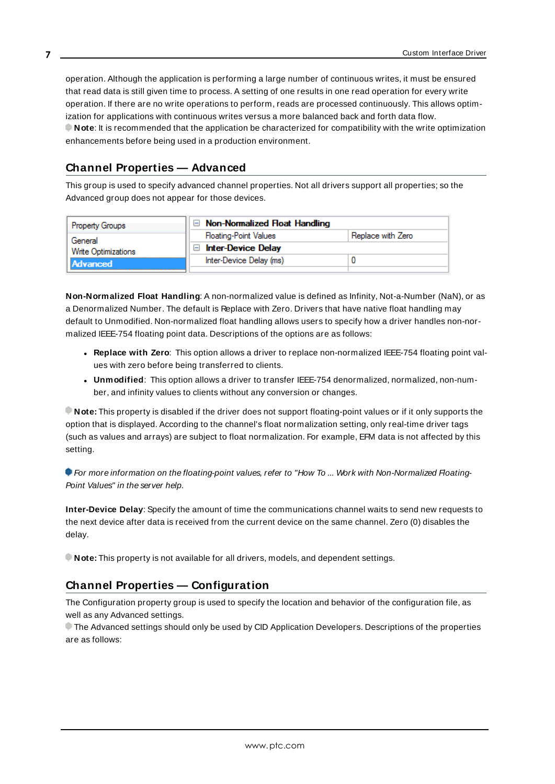<span id="page-6-2"></span>operation. Although the application is performing a large number of continuous writes, it must be ensured that read data is still given time to process. A setting of one results in one read operation for every write operation. If there are no write operations to perform, reads are processed continuously. This allows optimization for applications with continuous writes versus a more balanced back and forth data flow. **Note**: It is recommended that the application be characterized for compatibility with the write optimization enhancements before being used in a production environment.

## <span id="page-6-0"></span>**Channel Properties — Advanced**

This group is used to specify advanced channel properties. Not all drivers support all properties; so the Advanced group does not appear for those devices.

| <b>Property Groups</b>                     | Non-Normalized Float Handling |                   |
|--------------------------------------------|-------------------------------|-------------------|
| General<br>Write Optimizations<br>Advanced | <b>Floating-Point Values</b>  | Replace with Zero |
|                                            | <b>Inter-Device Delay</b>     |                   |
|                                            | Inter-Device Delay (ms)       |                   |
|                                            |                               |                   |

<span id="page-6-4"></span>**Non-Normalized Float Handling**: A non-normalized value is defined as Infinity, Not-a-Number (NaN), or as a Denormalized Number. The default is Replace with Zero. Drivers that have native float handling may default to Unmodified. Non-normalized float handling allows users to specify how a driver handles non-normalized IEEE-754 floating point data. Descriptions of the options are as follows:

- <span id="page-6-5"></span><sup>l</sup> **Replace with Zero**: This option allows a driver to replace non-normalized IEEE-754 floating point values with zero before being transferred to clients.
- <span id="page-6-6"></span><sup>l</sup> **Unmodified**: This option allows a driver to transfer IEEE-754 denormalized, normalized, non-number, and infinity values to clients without any conversion or changes.

**Note:** This property is disabled if the driver does not support floating-point values or if it only supports the option that is displayed. According to the channel's float normalization setting, only real-time driver tags (such as values and arrays) are subject to float normalization. For example, EFM data is not affected by this setting.

For more information on the floating-point values, refer to "How To ... Work with Non-Normalized Floating-Point Values" in the server help.

<span id="page-6-3"></span>**Inter-Device Delay**: Specify the amount of time the communications channel waits to send new requests to the next device after data is received from the current device on the same channel. Zero (0) disables the delay.

<span id="page-6-1"></span>**Note:** This property is not available for all drivers, models, and dependent settings.

## **Channel Properties — Configuration**

The Configuration property group is used to specify the location and behavior of the configuration file, as well as any Advanced settings.

The Advanced settings should only be used by CID Application Developers. Descriptions of the properties are as follows: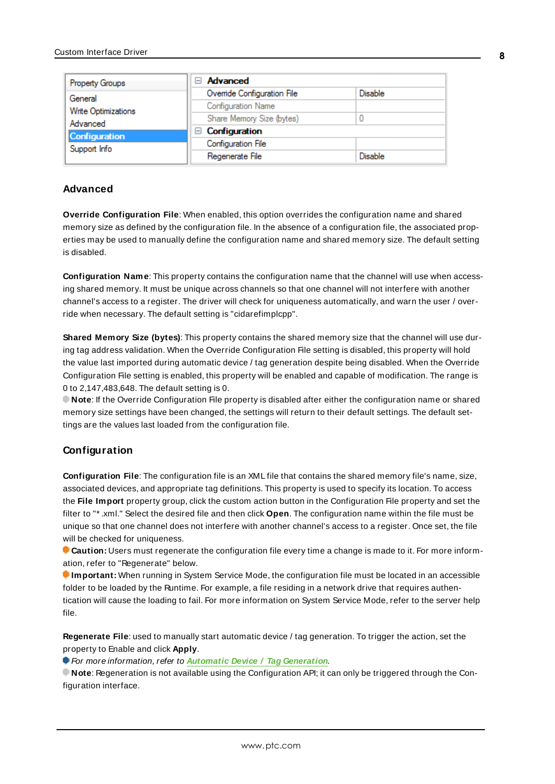| Property Groups                                  | <b>Advanced</b><br>$\overline{}$ |                |
|--------------------------------------------------|----------------------------------|----------------|
| General                                          | Override Configuration File      | <b>Disable</b> |
| Write Optimizations                              | <b>Configuration Name</b>        |                |
| Advanced<br><b>Configuration</b><br>Support Info | Share Memory Size (bytes)        |                |
|                                                  | Configuration<br>н               |                |
|                                                  | Configuration File               |                |
|                                                  | Regenerate File                  | Disable        |

### **Advanced**

**Override Configuration File**: When enabled, this option overrides the configuration name and shared memory size as defined by the configuration file. In the absence of a configuration file, the associated properties may be used to manually define the configuration name and shared memory size. The default setting is disabled.

**Configuration Name**: This property contains the configuration name that the channel will use when accessing shared memory. It must be unique across channels so that one channel will not interfere with another channel's access to a register. The driver will check for uniqueness automatically, and warn the user / override when necessary. The default setting is "cidarefimplcpp".

**Shared Memory Size (bytes)**: This property contains the shared memory size that the channel will use during tag address validation. When the Override Configuration File setting is disabled, this property will hold the value last imported during automatic device / tag generation despite being disabled. When the Override Configuration File setting is enabled, this property will be enabled and capable of modification. The range is 0 to 2,147,483,648. The default setting is 0.

**Note**: If the Override Configuration File property is disabled after either the configuration name or shared memory size settings have been changed, the settings will return to their default settings. The default settings are the values last loaded from the configuration file.

#### **Configuration**

**Configuration File**: The configuration file is an XML file that contains the shared memory file's name, size, associated devices, and appropriate tag definitions. This property is used to specify its location. To access the **File Import** property group, click the custom action button in the Configuration File property and set the filter to "\* .xml." Select the desired file and then click **Open**. The configuration name within the file must be unique so that one channel does not interfere with another channel's access to a register. Once set, the file will be checked for uniqueness.

**Caution:** Users must regenerate the configuration file every time a change is made to it. For more information, refer to "Regenerate" below.

**Important:** When running in System Service Mode, the configuration file must be located in an accessible folder to be loaded by the Runtime. For example, a file residing in a network drive that requires authentication will cause the loading to fail. For more information on System Service Mode, refer to the server help file.

**Regenerate File**: used to manually start automatic device / tag generation. To trigger the action, set the property to Enable and click **Apply**.

For more information, refer to **Automatic Device / Tag [Generation](#page-17-0)**.

**Note**: Regeneration is not available using the Configuration API; it can only be triggered through the Configuration interface.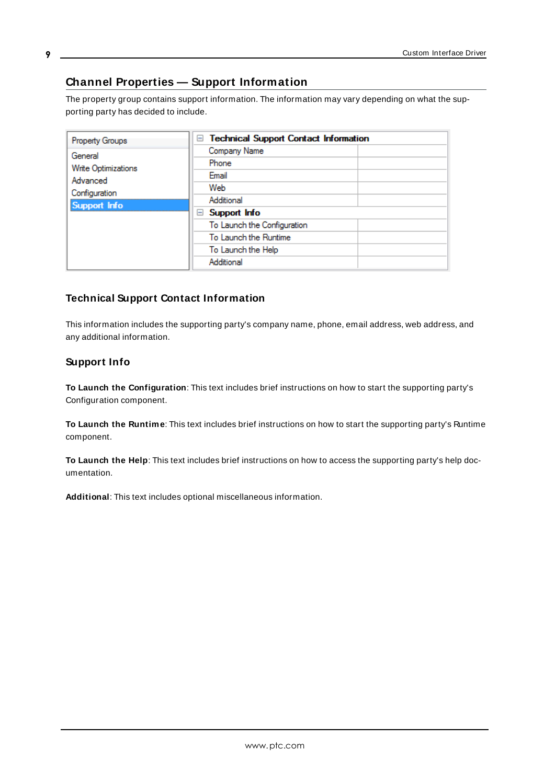## <span id="page-8-0"></span>**Channel Properties — Support Information**

The property group contains support information. The information may vary depending on what the supporting party has decided to include.

| Company Name<br>General<br>Phone<br>Write Optimizations<br>Email<br>Advanced<br>Web<br>Configuration<br>Additional<br>Support Info<br>Support Info<br>⊟<br>To Launch the Configuration<br>To Launch the Runtime<br>To Launch the Help<br>Additional |
|-----------------------------------------------------------------------------------------------------------------------------------------------------------------------------------------------------------------------------------------------------|
|                                                                                                                                                                                                                                                     |

## **Technical Support Contact Information**

This information includes the supporting party's company name, phone, email address, web address, and any additional information.

## **Support Info**

**To Launch the Configuration**: This text includes brief instructions on how to start the supporting party's Configuration component.

**To Launch the Runtime**: This text includes brief instructions on how to start the supporting party's Runtime component.

**To Launch the Help**: This text includes brief instructions on how to access the supporting party's help documentation.

**Additional**: This text includes optional miscellaneous information.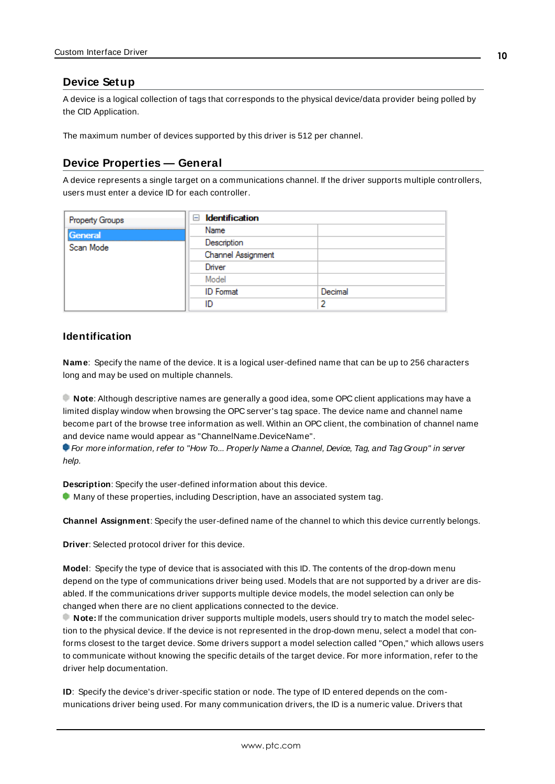### <span id="page-9-0"></span>**Device Setup**

A device is a logical collection of tags that corresponds to the physical device/data provider being polled by the CID Application.

<span id="page-9-1"></span>The maximum number of devices supported by this driver is 512 per channel.

### **Device Properties — General**

A device represents a single target on a communications channel. If the driver supports multiple controllers, users must enter a device ID for each controller.

| <b>Property Groups</b> | $\Box$ Identification |         |
|------------------------|-----------------------|---------|
| General                | Name                  |         |
| Scan Mode              | Description           |         |
|                        | Channel Assignment    |         |
|                        | Driver                |         |
|                        | Model                 |         |
|                        | <b>ID</b> Format      | Decimal |
|                        | ID                    |         |

### <span id="page-9-6"></span><span id="page-9-4"></span>**Identification**

**Name**: Specify the name of the device. It is a logical user-defined name that can be up to 256 characters long and may be used on multiple channels.

**Note**: Although descriptive names are generally a good idea, some OPC client applications may have a limited display window when browsing the OPC server's tag space. The device name and channel name become part of the browse tree information as well. Within an OPC client, the combination of channel name and device name would appear as "ChannelName.DeviceName".

For more information, refer to "How To... Properly Name a Channel, Device, Tag, and Tag Group" in server help.

**Description**: Specify the user-defined information about this device.

<span id="page-9-2"></span> $\bullet$  Many of these properties, including Description, have an associated system tag.

<span id="page-9-3"></span>**Channel Assignment**: Specify the user-defined name of the channel to which this device currently belongs.

<span id="page-9-5"></span>**Driver**: Selected protocol driver for this device.

**Model**: Specify the type of device that is associated with this ID. The contents of the drop-down menu depend on the type of communications driver being used. Models that are not supported by a driver are disabled. If the communications driver supports multiple device models, the model selection can only be changed when there are no client applications connected to the device.

**Note:** If the communication driver supports multiple models, users should try to match the model selection to the physical device. If the device is not represented in the drop-down menu, select a model that conforms closest to the target device. Some drivers support a model selection called "Open," which allows users to communicate without knowing the specific details of the target device. For more information, refer to the driver help documentation.

**ID**: Specify the device's driver-specific station or node. The type of ID entered depends on the communications driver being used. For many communication drivers, the ID is a numeric value. Drivers that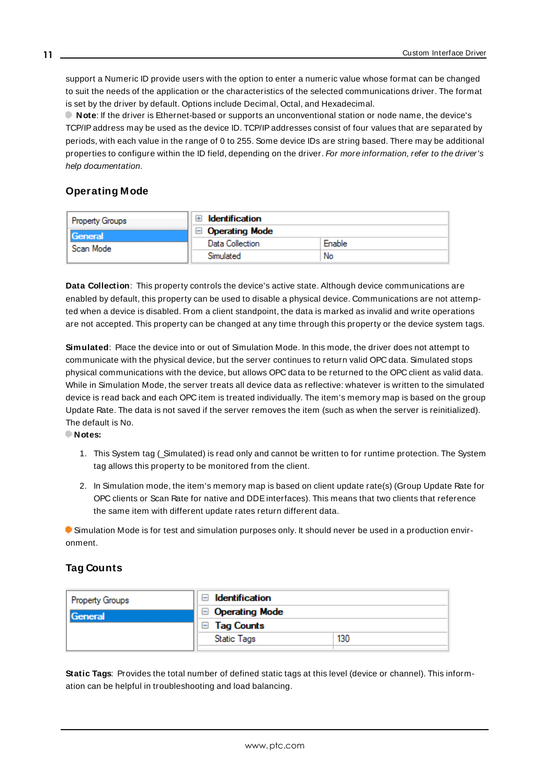<span id="page-10-3"></span>support a Numeric ID provide users with the option to enter a numeric value whose format can be changed to suit the needs of the application or the characteristics of the selected communications driver. The format is set by the driver by default. Options include Decimal, Octal, and Hexadecimal.

**Note**: If the driver is Ethernet-based or supports an unconventional station or node name, the device's TCP/IPaddress may be used as the device ID. TCP/IPaddresses consist of four values that are separated by periods, with each value in the range of 0 to 255. Some device IDs are string based. There may be additional properties to configure within the ID field, depending on the driver. For more information, refer to the driver's help documentation.

## <span id="page-10-0"></span>**Operating Mode**

| Property Groups      | <b>Identification</b><br>$+$ |        |
|----------------------|------------------------------|--------|
| General<br>Scan Mode | <b>Operating Mode</b>        |        |
|                      | Data Collection              | Enable |
|                      | Simulated                    | No     |

<span id="page-10-2"></span>**Data Collection**: This property controls the device's active state. Although device communications are enabled by default, this property can be used to disable a physical device. Communications are not attempted when a device is disabled. From a client standpoint, the data is marked as invalid and write operations are not accepted. This property can be changed at any time through this property or the device system tags.

<span id="page-10-4"></span>**Simulated**: Place the device into or out of Simulation Mode. In this mode, the driver does not attempt to communicate with the physical device, but the server continues to return valid OPC data. Simulated stops physical communications with the device, but allows OPC data to be returned to the OPC client as valid data. While in Simulation Mode, the server treats all device data as reflective: whatever is written to the simulated device is read back and each OPC item is treated individually. The item's memory map is based on the group Update Rate. The data is not saved if the server removes the item (such as when the server is reinitialized). The default is No.

#### **Notes:**

- 1. This System tag (\_Simulated) is read only and cannot be written to for runtime protection. The System tag allows this property to be monitored from the client.
- 2. In Simulation mode, the item's memory map is based on client update rate(s) (Group Update Rate for OPC clients or Scan Rate for native and DDEinterfaces). This means that two clients that reference the same item with different update rates return different data.

 Simulation Mode is for test and simulation purposes only. It should never be used in a production environment.

## <span id="page-10-1"></span>**Tag Counts**

| Property Groups | Identification<br>$\overline{ }$ |     |
|-----------------|----------------------------------|-----|
| General         | $\Box$ Operating Mode            |     |
|                 | <b>Tag Counts</b><br>ы           |     |
|                 | <b>Static Tags</b>               | 130 |
|                 |                                  |     |

**Static Tags**: Provides the total number of defined static tags at this level (device or channel). This information can be helpful in troubleshooting and load balancing.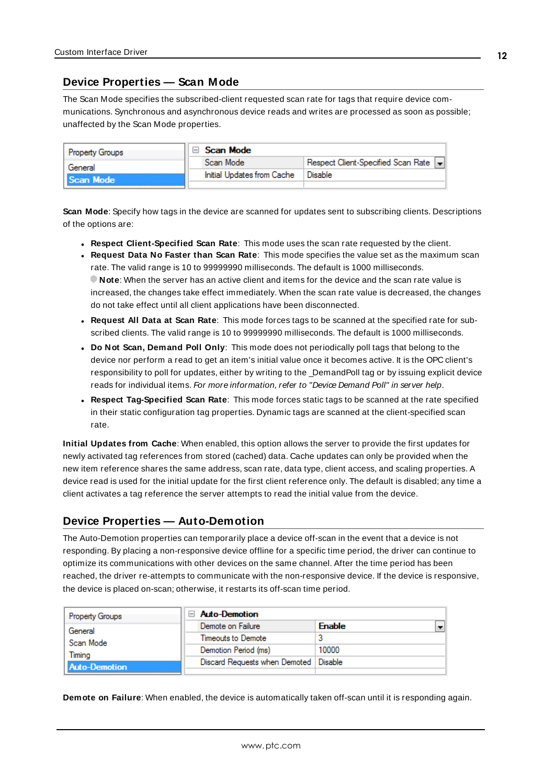### <span id="page-11-0"></span>**Device Properties — Scan Mode**

The Scan Mode specifies the subscribed-client requested scan rate for tags that require device communications. Synchronous and asynchronous device reads and writes are processed as soon as possible; unaffected by the Scan Mode properties.

| <b>Property Groups</b> |  | Scan Mode                  |                                    |
|------------------------|--|----------------------------|------------------------------------|
| General<br>Scan Mode   |  | Scan Mode                  | Respect Client-Specified Scan Rate |
|                        |  | Initial Updates from Cache | Disable                            |
|                        |  |                            |                                    |

<span id="page-11-6"></span>**Scan Mode**: Specify how tags in the device are scanned for updates sent to subscribing clients. Descriptions of the options are:

- <sup>l</sup> **Respect Client-Specified Scan Rate**: This mode uses the scan rate requested by the client.
- <sup>l</sup> **Request Data No Faster than Scan Rate**: This mode specifies the value set as the maximum scan rate. The valid range is 10 to 99999990 milliseconds. The default is 1000 milliseconds. **Note**: When the server has an active client and items for the device and the scan rate value is increased, the changes take effect immediately. When the scan rate value is decreased, the changes do not take effect until all client applications have been disconnected.
- <sup>l</sup> **Request All Data at Scan Rate**: This mode forces tags to be scanned at the specified rate for subscribed clients. The valid range is 10 to 99999990 milliseconds. The default is 1000 milliseconds.
- <span id="page-11-3"></span><sup>l</sup> **Do Not Scan, Demand Poll Only**: This mode does not periodically poll tags that belong to the device nor perform a read to get an item's initial value once it becomes active. It is the OPC client's responsibility to poll for updates, either by writing to the \_DemandPoll tag or by issuing explicit device reads for individual items. For more information, refer to "Device Demand Poll" in server help.
- <span id="page-11-5"></span><sup>l</sup> **Respect Tag-Specified Scan Rate**: This mode forces static tags to be scanned at the rate specified in their static configuration tag properties. Dynamic tags are scanned at the client-specified scan rate.

<span id="page-11-4"></span>**Initial Updates from Cache**: When enabled, this option allows the server to provide the first updates for newly activated tag references from stored (cached) data. Cache updates can only be provided when the new item reference shares the same address, scan rate, data type, client access, and scaling properties. A device read is used for the initial update for the first client reference only. The default is disabled; any time a client activates a tag reference the server attempts to read the initial value from the device.

## <span id="page-11-1"></span>**Device Properties — Auto-Demotion**

The Auto-Demotion properties can temporarily place a device off-scan in the event that a device is not responding. By placing a non-responsive device offline for a specific time period, the driver can continue to optimize its communications with other devices on the same channel. After the time period has been reached, the driver re-attempts to communicate with the non-responsive device. If the device is responsive, the device is placed on-scan; otherwise, it restarts its off-scan time period.

| <b>Property Groups</b> | <b>Auto-Demotion</b>                    |               |
|------------------------|-----------------------------------------|---------------|
| General                | Demote on Failure                       | <b>Enable</b> |
| Scan Mode              | Timeouts to Demote                      |               |
| Timina                 | Demotion Period (ms)                    | 10000         |
| Auto-Demotion          | Discard Requests when Demoted   Disable |               |
|                        |                                         |               |

<span id="page-11-2"></span>**Demote on Failure**: When enabled, the device is automatically taken off-scan until it is responding again.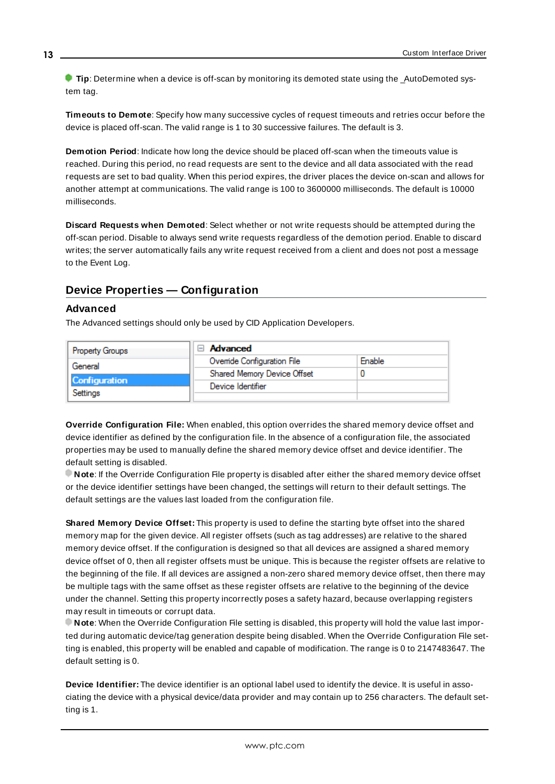**Tip:** Determine when a device is off-scan by monitoring its demoted state using the AutoDemoted system tag.

<span id="page-12-3"></span>**Timeouts to Demote**: Specify how many successive cycles of request timeouts and retries occur before the device is placed off-scan. The valid range is 1 to 30 successive failures. The default is 3.

<span id="page-12-1"></span>**Demotion Period**: Indicate how long the device should be placed off-scan when the timeouts value is reached. During this period, no read requests are sent to the device and all data associated with the read requests are set to bad quality. When this period expires, the driver places the device on-scan and allows for another attempt at communications. The valid range is 100 to 3600000 milliseconds. The default is 10000 milliseconds.

<span id="page-12-2"></span>**Discard Requests when Demoted**: Select whether or not write requests should be attempted during the off-scan period. Disable to always send write requests regardless of the demotion period. Enable to discard writes; the server automatically fails any write request received from a client and does not post a message to the Event Log.

## <span id="page-12-0"></span>**Device Properties — Configuration**

### **Advanced**

The Advanced settings should only be used by CID Application Developers.

| Property Groups      | Advanced<br>A               |        |
|----------------------|-----------------------------|--------|
| General              | Ovenide Configuration File  | Enable |
|                      | Shared Memory Device Offset |        |
| <b>Configuration</b> | Device Identifier           |        |
| Settings             |                             |        |

**Override Configuration File:** When enabled, this option overrides the shared memory device offset and device identifier as defined by the configuration file. In the absence of a configuration file, the associated properties may be used to manually define the shared memory device offset and device identifier. The default setting is disabled.

**Note**: If the Override Configuration File property is disabled after either the shared memory device offset or the device identifier settings have been changed, the settings will return to their default settings. The default settings are the values last loaded from the configuration file.

**Shared Memory Device Offset:** This property is used to define the starting byte offset into the shared memory map for the given device. All register offsets (such as tag addresses) are relative to the shared memory device offset. If the configuration is designed so that all devices are assigned a shared memory device offset of 0, then all register offsets must be unique. This is because the register offsets are relative to the beginning of the file. If all devices are assigned a non-zero shared memory device offset, then there may be multiple tags with the same offset as these register offsets are relative to the beginning of the device under the channel. Setting this property incorrectly poses a safety hazard, because overlapping registers may result in timeouts or corrupt data.

**Note**: When the Override Configuration File setting is disabled, this property will hold the value last imported during automatic device/tag generation despite being disabled. When the Override Configuration File setting is enabled, this property will be enabled and capable of modification. The range is 0 to 2147483647. The default setting is 0.

**Device Identifier:** The device identifier is an optional label used to identify the device. It is useful in associating the device with a physical device/data provider and may contain up to 256 characters. The default setting is 1.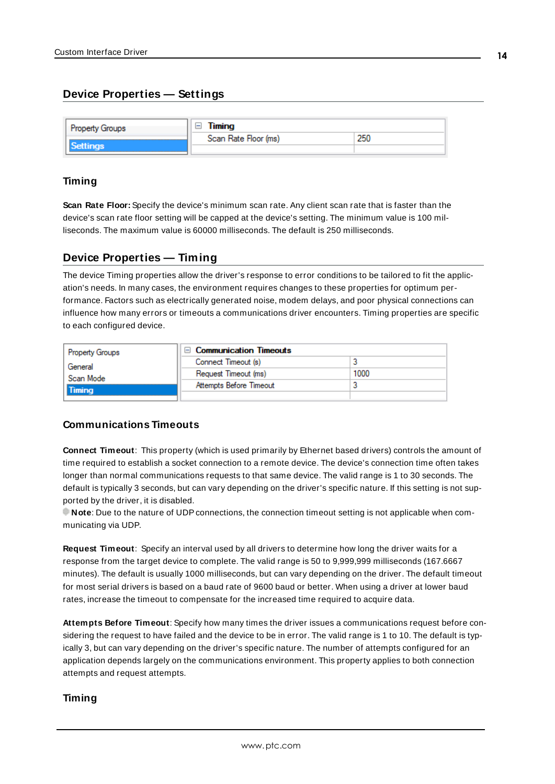## <span id="page-13-0"></span>**Device Properties — Settings**

| <b>Property Groups</b> | Timing               |     |
|------------------------|----------------------|-----|
|                        | Scan Rate Floor (ms) | 250 |
| <b>Jettings</b>        |                      |     |

#### **Timing**

**Scan Rate Floor:** Specify the device's minimum scan rate. Any client scan rate that is faster than the device's scan rate floor setting will be capped at the device's setting. The minimum value is 100 milliseconds. The maximum value is 60000 milliseconds. The default is 250 milliseconds.

### <span id="page-13-3"></span><span id="page-13-1"></span>**Device Properties — Timing**

The device Timing properties allow the driver's response to error conditions to be tailored to fit the application's needs. In many cases, the environment requires changes to these properties for optimum performance. Factors such as electrically generated noise, modem delays, and poor physical connections can influence how many errors or timeouts a communications driver encounters. Timing properties are specific to each configured device.

| Property Groups            | $\Box$ Communication Timeouts |      |
|----------------------------|-------------------------------|------|
| General                    | Connect Timeout (s)           |      |
| Scan Mode<br><b>Timina</b> | Request Timeout (ms)          | 1000 |
|                            | Attempts Before Timeout       |      |
|                            |                               |      |

### **Communications Timeouts**

<span id="page-13-4"></span>**Connect Timeout**: This property (which is used primarily by Ethernet based drivers) controls the amount of time required to establish a socket connection to a remote device. The device's connection time often takes longer than normal communications requests to that same device. The valid range is 1 to 30 seconds. The default is typically 3 seconds, but can vary depending on the driver's specific nature. If this setting is not supported by the driver, it is disabled.

**Note**: Due to the nature of UDPconnections, the connection timeout setting is not applicable when communicating via UDP.

<span id="page-13-5"></span>**Request Timeout**: Specify an interval used by all drivers to determine how long the driver waits for a response from the target device to complete. The valid range is 50 to 9,999,999 milliseconds (167.6667 minutes). The default is usually 1000 milliseconds, but can vary depending on the driver. The default timeout for most serial drivers is based on a baud rate of 9600 baud or better. When using a driver at lower baud rates, increase the timeout to compensate for the increased time required to acquire data.

<span id="page-13-2"></span>**Attempts Before Timeout**: Specify how many times the driver issues a communications request before considering the request to have failed and the device to be in error. The valid range is 1 to 10. The default is typically 3, but can vary depending on the driver's specific nature. The number of attempts configured for an application depends largely on the communications environment. This property applies to both connection attempts and request attempts.

#### **Timing**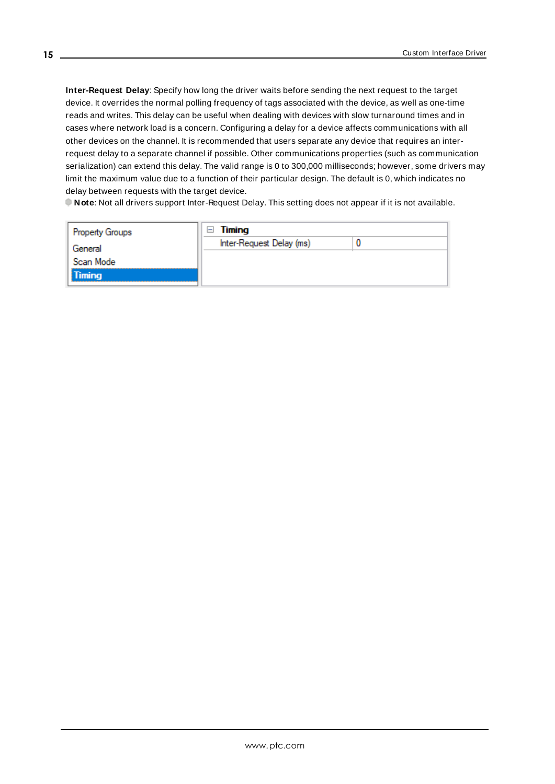**Inter-Request Delay**: Specify how long the driver waits before sending the next request to the target device. It overrides the normal polling frequency of tags associated with the device, as well as one-time reads and writes. This delay can be useful when dealing with devices with slow turnaround times and in cases where network load is a concern. Configuring a delay for a device affects communications with all other devices on the channel. It is recommended that users separate any device that requires an interrequest delay to a separate channel if possible. Other communications properties (such as communication serialization) can extend this delay. The valid range is 0 to 300,000 milliseconds; however, some drivers may limit the maximum value due to a function of their particular design. The default is 0, which indicates no delay between requests with the target device.

**Note**: Not all drivers support Inter-Request Delay. This setting does not appear if it is not available.

| Timing<br>$\overline{\phantom{0}}$ |  |
|------------------------------------|--|
| Inter-Request Delay (ms)           |  |
|                                    |  |
|                                    |  |
|                                    |  |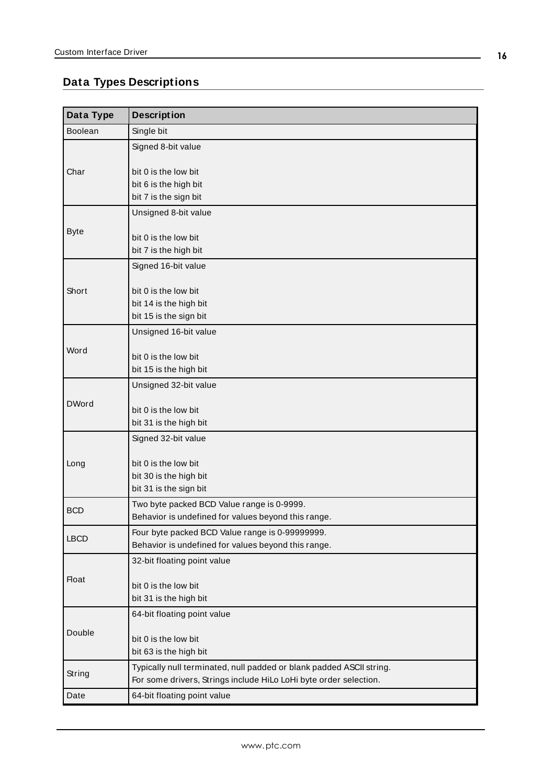## <span id="page-15-0"></span>**Data Types Descriptions**

| Data Type      | <b>Description</b>                                                                                                                        |
|----------------|-------------------------------------------------------------------------------------------------------------------------------------------|
| <b>Boolean</b> | Single bit                                                                                                                                |
|                | Signed 8-bit value                                                                                                                        |
| Char           | bit 0 is the low bit<br>bit 6 is the high bit<br>bit 7 is the sign bit                                                                    |
|                | Unsigned 8-bit value                                                                                                                      |
| <b>Byte</b>    | bit 0 is the low bit<br>bit 7 is the high bit                                                                                             |
|                | Signed 16-bit value                                                                                                                       |
| Short          | bit 0 is the low bit<br>bit 14 is the high bit<br>bit 15 is the sign bit                                                                  |
|                | Unsigned 16-bit value                                                                                                                     |
| Word           | bit 0 is the low bit<br>bit 15 is the high bit                                                                                            |
|                | Unsigned 32-bit value                                                                                                                     |
| <b>DWord</b>   | bit 0 is the low bit<br>bit 31 is the high bit                                                                                            |
|                | Signed 32-bit value                                                                                                                       |
| Long           | bit 0 is the low bit<br>bit 30 is the high bit<br>bit 31 is the sign bit                                                                  |
| <b>BCD</b>     | Two byte packed BCD Value range is 0-9999.                                                                                                |
|                | Behavior is undefined for values beyond this range.                                                                                       |
| <b>LBCD</b>    | Four byte packed BCD Value range is 0-99999999.<br>Behavior is undefined for values beyond this range.                                    |
|                | 32-bit floating point value                                                                                                               |
| <b>Float</b>   | bit 0 is the low bit<br>bit 31 is the high bit                                                                                            |
|                | 64-bit floating point value                                                                                                               |
| Double         | bit 0 is the low bit<br>bit 63 is the high bit                                                                                            |
| String         | Typically null terminated, null padded or blank padded ASCII string.<br>For some drivers, Strings include HiLo LoHi byte order selection. |
| Date           | 64-bit floating point value                                                                                                               |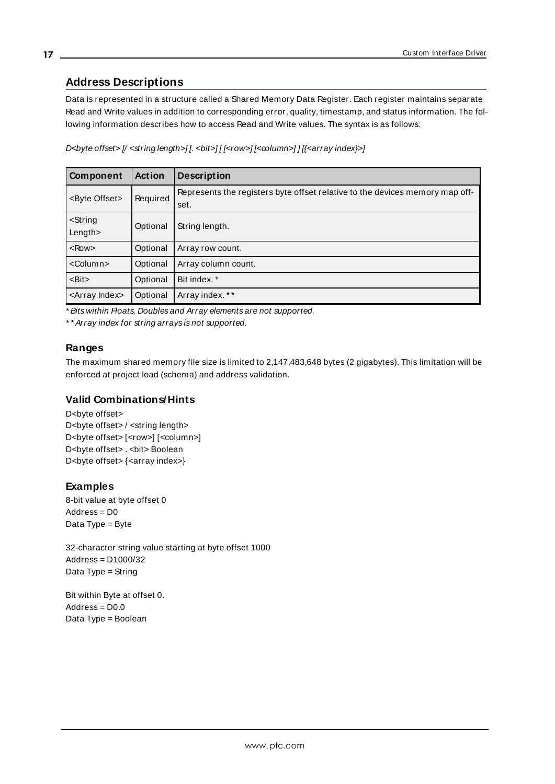## <span id="page-16-0"></span>**Address Descriptions**

Data is represented in a structure called a Shared Memory Data Register. Each register maintains separate Read and Write values in addition to corresponding error, quality, timestamp, and status information. The following information describes how to access Read and Write values. The syntax is as follows:

D<br/>kbyte offset> [/ <string length>] [. <br/> <br/> <br/><br/>column>]] [{<array index}>]

| Component                         | <b>Action</b> | <b>Description</b>                                                                   |
|-----------------------------------|---------------|--------------------------------------------------------------------------------------|
| <byte offset=""></byte>           | Required      | Represents the registers byte offset relative to the devices memory map off-<br>set. |
| <string<br>Length&gt;</string<br> | Optional      | String length.                                                                       |
| $<$ Row $>$                       | Optional      | Array row count.                                                                     |
| <column></column>                 | Optional      | Array column count.                                                                  |
| $-Bit$                            | Optional      | Bit index. *                                                                         |
| <array index=""></array>          | Optional      | Array index. **                                                                      |

\* Bits within Floats, Doubles and Array elements are not supported.

\* \* Array index for string arrays is not supported.

## **Ranges**

The maximum shared memory file size is limited to 2,147,483,648 bytes (2 gigabytes). This limitation will be enforced at project load (schema) and address validation.

#### **Valid Combinations/Hints**

D<br/>chyte offset> D<br/>byte offset> / <string length> D<br/>chyte offset> [<row>] [<column>] D<br/>chyte offset> . <br/> <br/>bit> Boolean D<br/>byte offset> {<array index>}

## **Examples**

8-bit value at byte offset 0 Address = D0 Data Type = Byte

32-character string value starting at byte offset 1000 Address = D1000/32 Data Type = String

Bit within Byte at offset 0.  $Address = D0.0$ Data Type = Boolean

**17**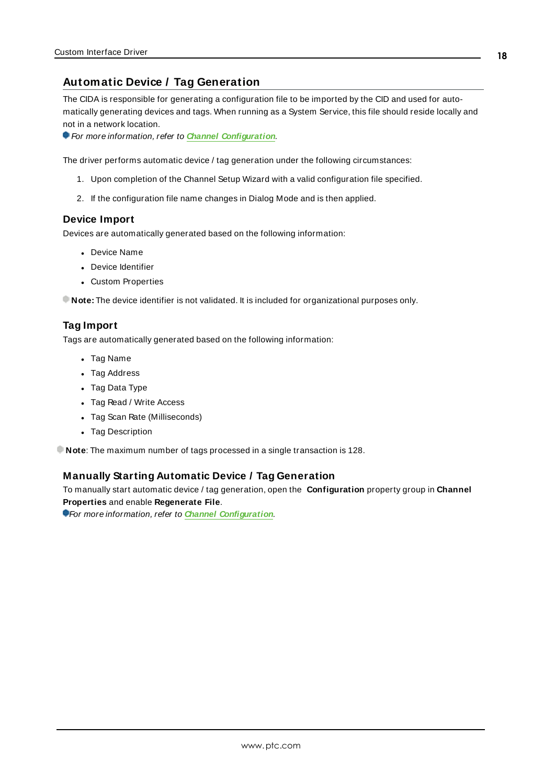## <span id="page-17-0"></span>**Automatic Device / Tag Generation**

The CIDA is responsible for generating a configuration file to be imported by the CID and used for automatically generating devices and tags. When running as a System Service, this file should reside locally and not in a network location.

For more information, refer to **Channel [Configuration](#page-6-1)**.

The driver performs automatic device / tag generation under the following circumstances:

- 1. Upon completion of the Channel Setup Wizard with a valid configuration file specified.
- 2. If the configuration file name changes in Dialog Mode and is then applied.

#### **Device Import**

Devices are automatically generated based on the following information:

- Device Name
- Device Identifier
- Custom Properties

**Note:** The device identifier is not validated. It is included for organizational purposes only.

#### **Tag Import**

Tags are automatically generated based on the following information:

- Tag Name
- Tag Address
- Tag Data Type
- Tag Read / Write Access
- Tag Scan Rate (Milliseconds)
- Tag Description

**Note**: The maximum number of tags processed in a single transaction is 128.

#### **Manually Starting Automatic Device / Tag Generation**

To manually start automatic device / tag generation, open the **Configuration** property group in **Channel Properties** and enable **Regenerate File**.

For more information, refer to **Channel [Configuration](#page-6-1)**.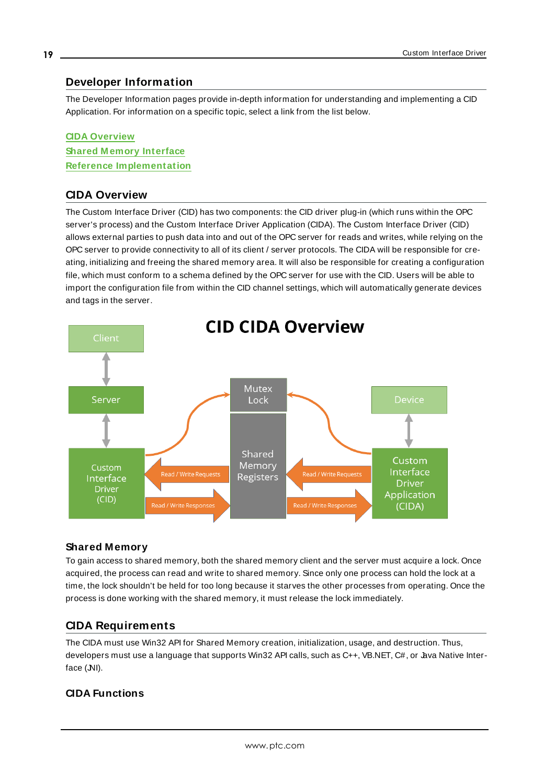## <span id="page-18-0"></span>**Developer Information**

The Developer Information pages provide in-depth information for understanding and implementing a CID Application. For information on a specific topic, select a link from the list below.

## **CIDA [Overview](#page-18-1) Shared Memory Interface Reference [Implementation](#page-25-0)**

## <span id="page-18-1"></span>**CIDA Overview**

The Custom Interface Driver (CID) has two components: the CID driver plug-in (which runs within the OPC server's process) and the Custom Interface Driver Application (CIDA). The Custom Interface Driver (CID) allows external parties to push data into and out of the OPC server for reads and writes, while relying on the OPC server to provide connectivity to all of its client / server protocols. The CIDA will be responsible for creating, initializing and freeing the shared memory area. It will also be responsible for creating a configuration file, which must conform to a schema defined by the OPC server for use with the CID. Users will be able to import the configuration file from within the CID channel settings, which will automatically generate devices and tags in the server.



## **Shared Memory**

To gain access to shared memory, both the shared memory client and the server must acquire a lock. Once acquired, the process can read and write to shared memory. Since only one process can hold the lock at a time, the lock shouldn't be held for too long because it starves the other processes from operating. Once the process is done working with the shared memory, it must release the lock immediately.

## <span id="page-18-2"></span>**CIDA Requirements**

The CIDA must use Win32 API for Shared Memory creation, initialization, usage, and destruction. Thus, developers must use a language that supports Win32 API calls, such as C++, VB.NET, C#, or Java Native Interface (NI).

## **CIDA Functions**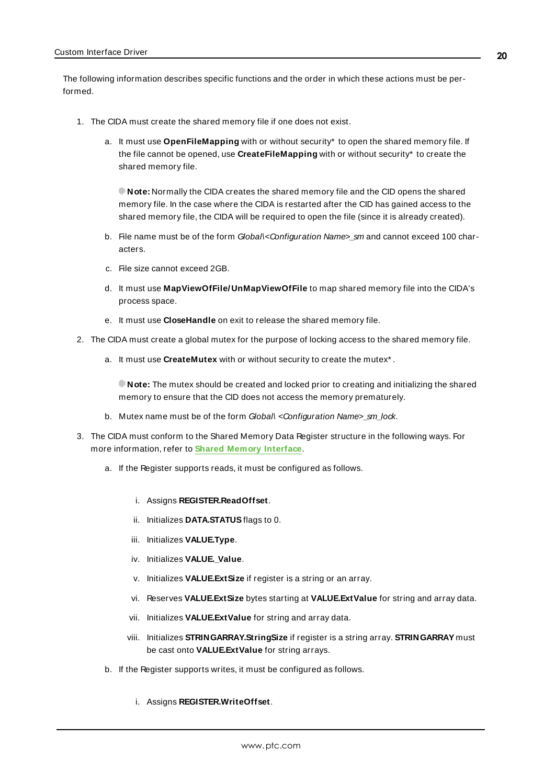The following information describes specific functions and the order in which these actions must be performed.

- 1. The CIDA must create the shared memory file if one does not exist.
	- a. It must use **OpenFileMapping** with or without security\* to open the shared memory file. If the file cannot be opened, use **CreateFileMapping** with or without security\* to create the shared memory file.

**Note:** Normally the CIDA creates the shared memory file and the CID opens the shared memory file. In the case where the CIDA is restarted after the CID has gained access to the shared memory file, the CIDA will be required to open the file (since it is already created).

- b. File name must be of the form Global\<Configuration Name>\_sm and cannot exceed 100 characters.
- c. File size cannot exceed 2GB.
- d. It must use **MapViewOfFile/UnMapViewOfFile** to map shared memory file into the CIDA's process space.
- e. It must use **CloseHandle** on exit to release the shared memory file.
- 2. The CIDA must create a global mutex for the purpose of locking access to the shared memory file.
	- a. It must use **CreateMutex** with or without security to create the mutex\* .

**Note:** The mutex should be created and locked prior to creating and initializing the shared memory to ensure that the CID does not access the memory prematurely.

- b. Mutex name must be of the form Global\ <Configuration Name>\_sm\_lock.
- 3. The CIDA must conform to the Shared Memory Data Register structure in the following ways. For more information, refer to **Shared Memory [Interface](#page-21-0)**.
	- a. If the Register supports reads, it must be configured as follows.
		- i. Assigns **REGISTER.ReadOffset**.
		- ii. Initializes **DATA.STATUS**flags to 0.
		- iii. Initializes **VALUE.Type**.
		- iv. Initializes VALUE. Value.
		- v. Initializes **VALUE.ExtSize** if register is a string or an array.
		- vi. Reserves **VALUE.ExtSize** bytes starting at **VALUE.ExtValue** for string and array data.
		- vii. Initializes **VALUE.ExtValue** for string and array data.
		- viii. Initializes **STRINGARRAY.StringSize** if register is a string array. **STRINGARRAY** must be cast onto **VALUE.ExtValue** for string arrays.
	- b. If the Register supports writes, it must be configured as follows.
		- i. Assigns **REGISTER.WriteOffset**.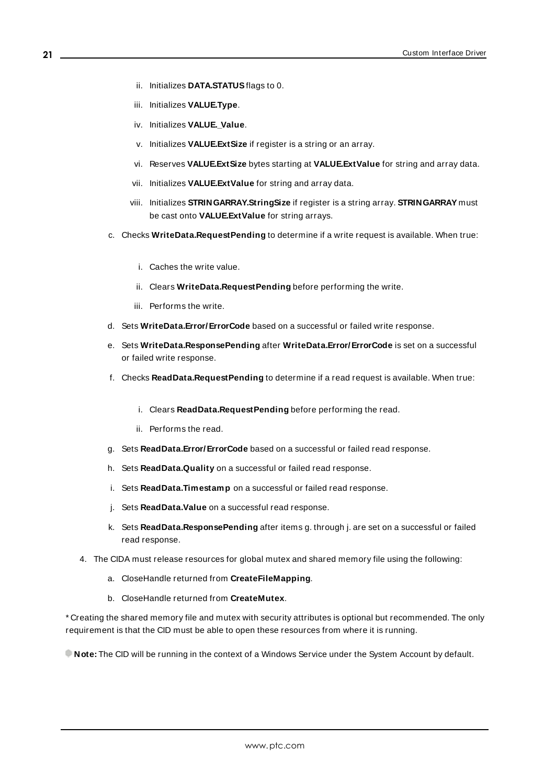- ii. Initializes **DATA.STATUS**flags to 0.
- iii. Initializes **VALUE.Type**.
- iv. Initializes VALUE. Value.
- v. Initializes **VALUE.ExtSize** if register is a string or an array.
- vi. Reserves **VALUE.ExtSize** bytes starting at **VALUE.ExtValue** for string and array data.
- vii. Initializes **VALUE.ExtValue** for string and array data.
- viii. Initializes **STRINGARRAY.StringSize** if register is a string array. **STRINGARRAY** must be cast onto **VALUE.ExtValue** for string arrays.
- c. Checks **WriteData.RequestPending** to determine if a write request is available. When true:
	- i. Caches the write value.
	- ii. Clears **WriteData.RequestPending** before performing the write.
	- iii. Performs the write.
- d. Sets **WriteData.Error/ErrorCode** based on a successful or failed write response.
- e. Sets **WriteData.ResponsePending** after **WriteData.Error/ErrorCode** is set on a successful or failed write response.
- f. Checks **ReadData.RequestPending** to determine if a read request is available. When true:
	- i. Clears **ReadData.RequestPending** before performing the read.
	- ii. Performs the read.
- g. Sets **ReadData.Error/ErrorCode** based on a successful or failed read response.
- h. Sets **ReadData.Quality** on a successful or failed read response.
- i. Sets **ReadData.Timestamp** on a successful or failed read response.
- j. Sets **ReadData.Value** on a successful read response.
- k. Sets **ReadData.ResponsePending** after items g. through j. are set on a successful or failed read response.
- 4. The CIDA must release resources for global mutex and shared memory file using the following:
	- a. CloseHandle returned from **CreateFileMapping**.
	- b. CloseHandle returned from **CreateMutex**.

\* Creating the shared memory file and mutex with security attributes is optional but recommended. The only requirement is that the CID must be able to open these resources from where it is running.

**Note:** The CID will be running in the context of a Windows Service under the System Account by default.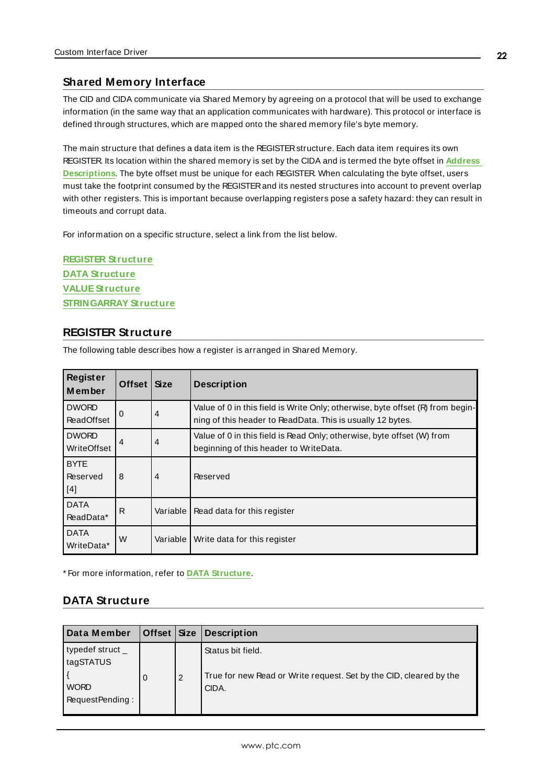### <span id="page-21-0"></span>**Shared Memory Interface**

The CID and CIDA communicate via Shared Memory by agreeing on a protocol that will be used to exchange information (in the same way that an application communicates with hardware). This protocol or interface is defined through structures, which are mapped onto the shared memory file's byte memory.

The main structure that defines a data item is the REGISTERstructure. Each data item requires its own REGISTER. Its location within the shared memory is set by the CIDA and is termed the byte offset in **[Address](#page-16-0) [Descriptions](#page-16-0)**. The byte offset must be unique for each REGISTER. When calculating the byte offset, users must take the footprint consumed by the REGISTERand its nested structures into account to prevent overlap with other registers. This is important because overlapping registers pose a safety hazard: they can result in timeouts and corrupt data.

For information on a specific structure, select a link from the list below.

**REGISTER [Structure](#page-21-1) DATA [Structure](#page-21-2) [VALUEStructure](#page-22-0) [STRINGARRAY](#page-24-0) Structure**

## <span id="page-21-1"></span>**REGISTER Structure**

The following table describes how a register is arranged in Shared Memory.

| Register<br>Member                | Offset         | <b>Size</b>    | <b>Description</b>                                                                                                                           |
|-----------------------------------|----------------|----------------|----------------------------------------------------------------------------------------------------------------------------------------------|
| <b>DWORD</b><br><b>ReadOffset</b> | $\Omega$       | $\overline{4}$ | Value of 0 in this field is Write Only; otherwise, byte offset (R) from begin-<br>ning of this header to ReadData. This is usually 12 bytes. |
| <b>DWORD</b><br>WriteOffset       | $\overline{4}$ | $\overline{4}$ | Value of 0 in this field is Read Only; otherwise, byte offset (W) from<br>beginning of this header to WriteData.                             |
| <b>BYTE</b><br>Reserved<br>[4]    | 8              | $\overline{4}$ | Reserved                                                                                                                                     |
| <b>DATA</b><br>ReadData*          | R              | Variable       | Read data for this register                                                                                                                  |
| <b>DATA</b><br>WriteData*         | W              | Variable I     | Write data for this register                                                                                                                 |

<span id="page-21-2"></span>\* For more information, refer to **DATA [Structure](#page-21-2)**.

### **DATA Structure**

| Data Member                                                    | Offset $Size$ |   | <b>Description</b>                                                                               |
|----------------------------------------------------------------|---------------|---|--------------------------------------------------------------------------------------------------|
| typedef struct_<br>tagSTATUS<br><b>WORD</b><br>RequestPending: | $\Omega$      | 2 | Status bit field.<br>True for new Read or Write request. Set by the CID, cleared by the<br>CIDA. |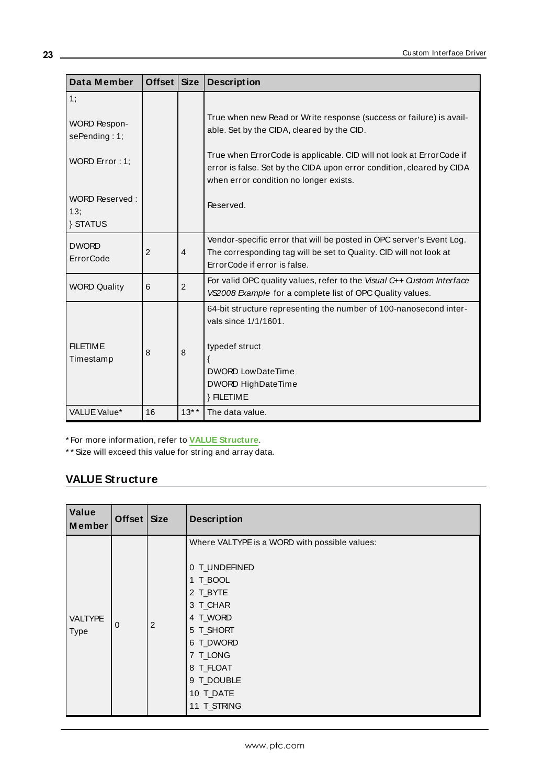| Data Member                                                                                            | Offset   Size  |                | <b>Description</b>                                                                                                                                                                                                                                                                                                        |
|--------------------------------------------------------------------------------------------------------|----------------|----------------|---------------------------------------------------------------------------------------------------------------------------------------------------------------------------------------------------------------------------------------------------------------------------------------------------------------------------|
| 1;<br><b>WORD Respon-</b><br>sePending: 1;<br>WORD Error: 1;<br>WORD Reserved:<br>13;<br><b>STATUS</b> |                |                | True when new Read or Write response (success or failure) is avail-<br>able. Set by the CIDA, cleared by the CID.<br>True when ErrorCode is applicable. CID will not look at ErrorCode if<br>error is false. Set by the CIDA upon error condition, cleared by CIDA<br>when error condition no longer exists.<br>Reserved. |
| <b>DWORD</b><br><b>ErrorCode</b>                                                                       | $\overline{2}$ | $\overline{4}$ | Vendor-specific error that will be posted in OPC server's Event Log.<br>The corresponding tag will be set to Quality. CID will not look at<br>ErrorCode if error is false.                                                                                                                                                |
| <b>WORD Quality</b>                                                                                    | 6              | $\overline{2}$ | For valid OPC quality values, refer to the Visual $C_{++}$ Custom Interface<br>VS2008 Example for a complete list of OPC Quality values.                                                                                                                                                                                  |
| <b>FILETIME</b><br>Timestamp                                                                           | 8              | 8              | 64-bit structure representing the number of 100-nanosecond inter-<br>vals since 1/1/1601.<br>typedef struct<br><b>DWORD LowDateTime</b><br><b>DWORD HighDateTime</b><br>} FILETIME                                                                                                                                        |
| VALUE Value*                                                                                           | 16             | $13***$        | The data value.                                                                                                                                                                                                                                                                                                           |

\* For more information, refer to **VALUE [Structure](#page-22-0)**.

<span id="page-22-0"></span>\* \* Size will exceed this value for string and array data.

## **VALUE Structure**

| Value<br>Member        | Offset $Size$  |   | <b>Description</b>                                                                                                                                                                                          |  |  |
|------------------------|----------------|---|-------------------------------------------------------------------------------------------------------------------------------------------------------------------------------------------------------------|--|--|
| <b>VALTYPE</b><br>Type | $\overline{0}$ | 2 | Where VALTYPE is a WORD with possible values:<br>0 T_UNDEFINED<br>1 T_BOOL<br>2 T_BYTE<br>3 T_CHAR<br>4 T_WORD<br>5 T_SHORT<br>6 T_DWORD<br>7 T_LONG<br>8 T_FLOAT<br>9 T_DOUBLE<br>10 T_DATE<br>11 T_STRING |  |  |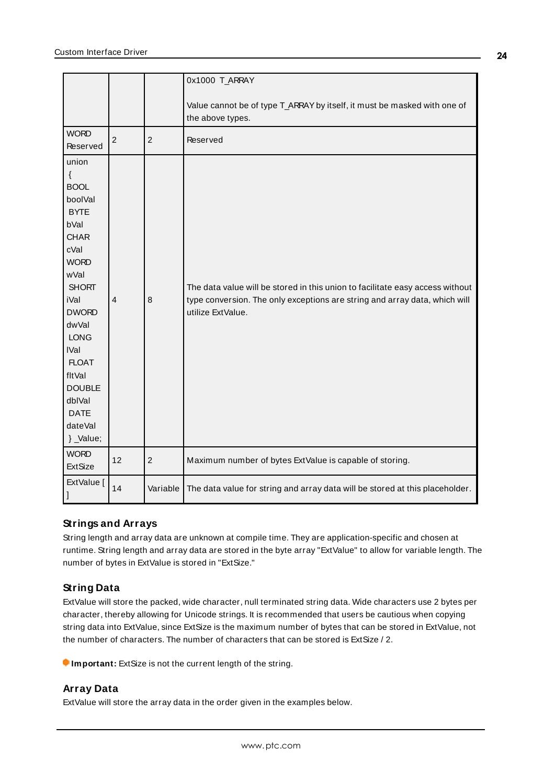|                                                                                                                                                                                                                                                                                                |                |                | 0x1000 T_ARRAY                                                                                                                                                                   |
|------------------------------------------------------------------------------------------------------------------------------------------------------------------------------------------------------------------------------------------------------------------------------------------------|----------------|----------------|----------------------------------------------------------------------------------------------------------------------------------------------------------------------------------|
|                                                                                                                                                                                                                                                                                                |                |                | Value cannot be of type T_ARRAY by itself, it must be masked with one of<br>the above types.                                                                                     |
| <b>WORD</b><br>Reserved                                                                                                                                                                                                                                                                        | $\overline{2}$ | $\overline{2}$ | Reserved                                                                                                                                                                         |
| union<br>$\{$<br><b>BOOL</b><br>boolVal<br><b>BYTE</b><br>bVal<br><b>CHAR</b><br>cVal<br><b>WORD</b><br>wVal<br><b>SHORT</b><br><b>iVal</b><br><b>DWORD</b><br>dwVal<br><b>LONG</b><br><b>IVal</b><br><b>FLOAT</b><br>fltVal<br><b>DOUBLE</b><br>dblVal<br><b>DATE</b><br>dateVal<br>} _Value; | $\overline{4}$ | 8              | The data value will be stored in this union to facilitate easy access without<br>type conversion. The only exceptions are string and array data, which will<br>utilize ExtValue. |
| <b>WORD</b><br><b>ExtSize</b>                                                                                                                                                                                                                                                                  | 12             | $\overline{2}$ | Maximum number of bytes ExtValue is capable of storing.                                                                                                                          |
| ExtValue [                                                                                                                                                                                                                                                                                     | 14             | Variable       | The data value for string and array data will be stored at this placeholder.                                                                                                     |

## **Strings and Arrays**

String length and array data are unknown at compile time. They are application-specific and chosen at runtime. String length and array data are stored in the byte array "ExtValue" to allow for variable length. The number of bytes in ExtValue is stored in "ExtSize."

## **String Data**

ExtValue will store the packed, wide character, null terminated string data. Wide characters use 2 bytes per character, thereby allowing for Unicode strings. It is recommended that users be cautious when copying string data into ExtValue, since ExtSize is the maximum number of bytes that can be stored in ExtValue, not the number of characters. The number of characters that can be stored is ExtSize / 2.

**Important:** ExtSize is not the current length of the string.

## **Array Data**

ExtValue will store the array data in the order given in the examples below.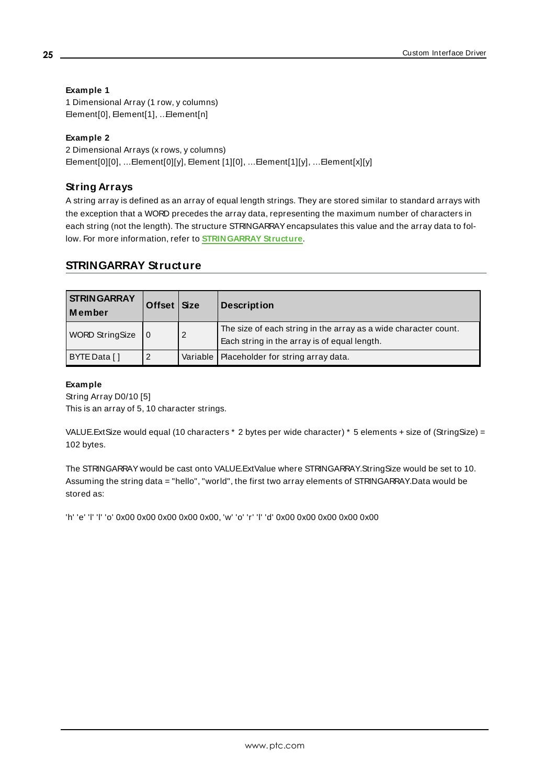### **Example 1**

1 Dimensional Array (1 row, y columns) Element[0], Element[1], …Element[n]

### **Example 2**

2 Dimensional Arrays (x rows, y columns) Element[0][0], …Element[0][y], Element [1][0], …Element[1][y], …Element[x][y]

## **String Arrays**

A string array is defined as an array of equal length strings. They are stored similar to standard arrays with the exception that a WORD precedes the array data, representing the maximum number of characters in each string (not the length). The structure STRINGARRAY encapsulates this value and the array data to follow. For more information, refer to **[STRINGARRAY](#page-24-0) Structure**.

## <span id="page-24-0"></span>**STRINGARRAY Structure**

| <b>STRINGARRAY</b><br>l Member | Offset <sup>V</sup> | <b>Size</b>    | <b>Description</b>                                                                                              |
|--------------------------------|---------------------|----------------|-----------------------------------------------------------------------------------------------------------------|
| <b>WORD StringSize</b>         |                     | $\overline{2}$ | The size of each string in the array as a wide character count.<br>Each string in the array is of equal length. |
| BYTE Data []                   | 2                   |                | Variable   Placeholder for string array data.                                                                   |

#### **Example**

String Array D0/10 [5] This is an array of 5, 10 character strings.

VALUE.ExtSize would equal (10 characters \* 2 bytes per wide character) \* 5 elements + size of (StringSize) = 102 bytes.

The STRINGARRAY would be cast onto VALUE.ExtValue where STRINGARRAY.StringSize would be set to 10. Assuming the string data = "hello", "world", the first two array elements of STRINGARRAY.Data would be stored as:

'h' 'e' 'l' 'l' 'o' 0x00 0x00 0x00 0x00 0x00, 'w' 'o' 'r' 'l' 'd' 0x00 0x00 0x00 0x00 0x00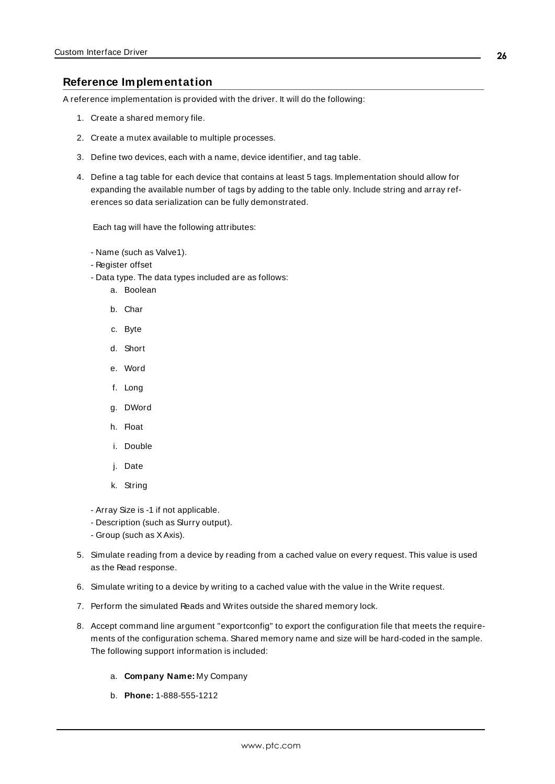#### <span id="page-25-0"></span>**Reference Implementation**

A reference implementation is provided with the driver. It will do the following:

- 1. Create a shared memory file.
- 2. Create a mutex available to multiple processes.
- 3. Define two devices, each with a name, device identifier, and tag table.
- 4. Define a tag table for each device that contains at least 5 tags. Implementation should allow for expanding the available number of tags by adding to the table only. Include string and array references so data serialization can be fully demonstrated.

Each tag will have the following attributes:

- Name (such as Valve1).
- Register offset
- Data type. The data types included are as follows:
	- a. Boolean
	- b. Char
	- c. Byte
	- d. Short
	- e. Word
	- f. Long
	- g. DWord
	- h. Float
	- i. Double
	- j. Date
	- k. String
- Array Size is -1 if not applicable.
- Description (such as Slurry output).
- Group (such as XAxis).
- 5. Simulate reading from a device by reading from a cached value on every request. This value is used as the Read response.
- 6. Simulate writing to a device by writing to a cached value with the value in the Write request.
- 7. Perform the simulated Reads and Writes outside the shared memory lock.
- 8. Accept command line argument "exportconfig" to export the configuration file that meets the requirements of the configuration schema. Shared memory name and size will be hard-coded in the sample. The following support information is included:
	- a. **Company Name:** My Company
	- b. **Phone:** 1-888-555-1212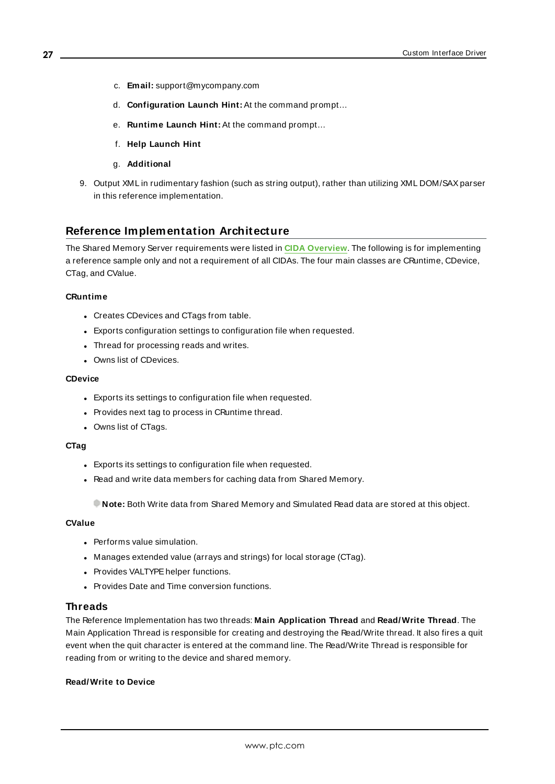- c. **Email:** support@mycompany.com
- d. **Configuration Launch Hint:** At the command prompt…
- e. **Runtime Launch Hint:** At the command prompt…
- f. **Help Launch Hint**
- g. **Additional**
- 9. Output XML in rudimentary fashion (such as string output), rather than utilizing XML DOM/SAXparser in this reference implementation.

## <span id="page-26-0"></span>**Reference Implementation Architecture**

The Shared Memory Server requirements were listed in **CIDA [Overview](#page-18-1)**. The following is for implementing a reference sample only and not a requirement of all CIDAs. The four main classes are CRuntime, CDevice, CTag, and CValue.

#### **CRuntime**

- Creates CDevices and CTags from table.
- Exports configuration settings to configuration file when requested.
- Thread for processing reads and writes.
- Owns list of CDevices.

#### **CDevice**

- Exports its settings to configuration file when requested.
- Provides next tag to process in CRuntime thread.
- Owns list of CTags.

#### **CTag**

- Exports its settings to configuration file when requested.
- Read and write data members for caching data from Shared Memory.

**Note:** Both Write data from Shared Memory and Simulated Read data are stored at this object.

#### **CValue**

- Performs value simulation.
- Manages extended value (arrays and strings) for local storage (CTag).
- Provides VALTYPE helper functions.
- Provides Date and Time conversion functions.

#### **Threads**

The Reference Implementation has two threads: **Main Application Thread** and **Read/Write Thread**. The Main Application Thread is responsible for creating and destroying the Read/Write thread. It also fires a quit event when the quit character is entered at the command line. The Read/Write Thread is responsible for reading from or writing to the device and shared memory.

#### **Read/Write to Device**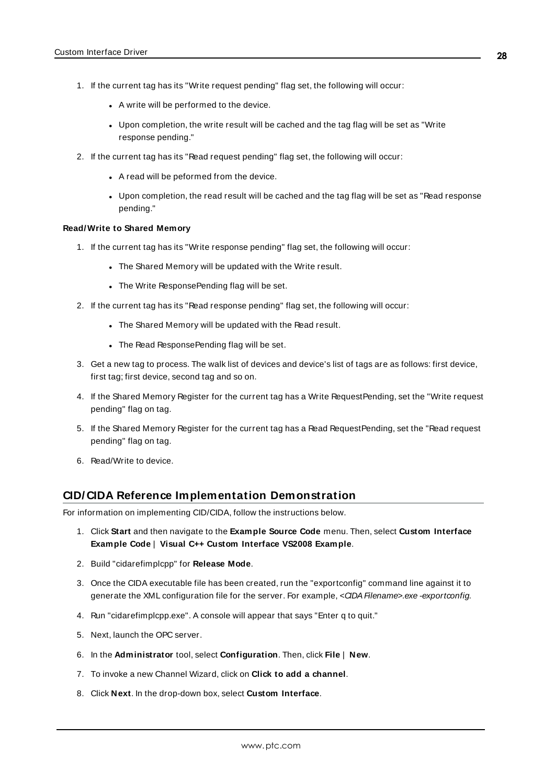- 1. If the current tag has its "Write request pending" flag set, the following will occur:
	- A write will be performed to the device.
	- Upon completion, the write result will be cached and the tag flag will be set as "Write" response pending."
- 2. If the current tag has its "Read request pending" flag set, the following will occur:
	- A read will be peformed from the device.
	- Upon completion, the read result will be cached and the tag flag will be set as "Read response pending."

#### **Read/Write to Shared Memory**

- 1. If the current tag has its "Write response pending" flag set, the following will occur:
	- The Shared Memory will be updated with the Write result.
	- The Write ResponsePending flag will be set.
- 2. If the current tag has its "Read response pending" flag set, the following will occur:
	- . The Shared Memory will be updated with the Read result.
	- The Read ResponsePending flag will be set.
- 3. Get a new tag to process. The walk list of devices and device's list of tags are as follows: first device, first tag; first device, second tag and so on.
- 4. If the Shared Memory Register for the current tag has a Write RequestPending, set the "Write request pending" flag on tag.
- 5. If the Shared Memory Register for the current tag has a Read RequestPending, set the "Read request pending" flag on tag.
- 6. Read/Write to device.

#### <span id="page-27-0"></span>**CID/ CIDA Reference Implementation Demonstration**

For information on implementing CID/CIDA, follow the instructions below.

- 1. Click **Start** and then navigate to the **Example Source Code** menu. Then, select **Custom Interface Example Code** | **Visual C++ Custom Interface VS2008 Example**.
- 2. Build "cidarefimplcpp" for **Release Mode**.
- 3. Once the CIDA executable file has been created, run the "exportconfig" command line against it to generate the XML configuration file for the server. For example, <CIDA Filename>.exe -exportconfig.
- 4. Run "cidarefimplcpp.exe". A console will appear that says "Enter q to quit."
- 5. Next, launch the OPC server.
- 6. In the **Administrator** tool, select **Configuration**. Then, click **File** | **New**.
- 7. To invoke a new Channel Wizard, click on **Click to add a channel**.
- 8. Click **Next**. In the drop-down box, select **Custom Interface**.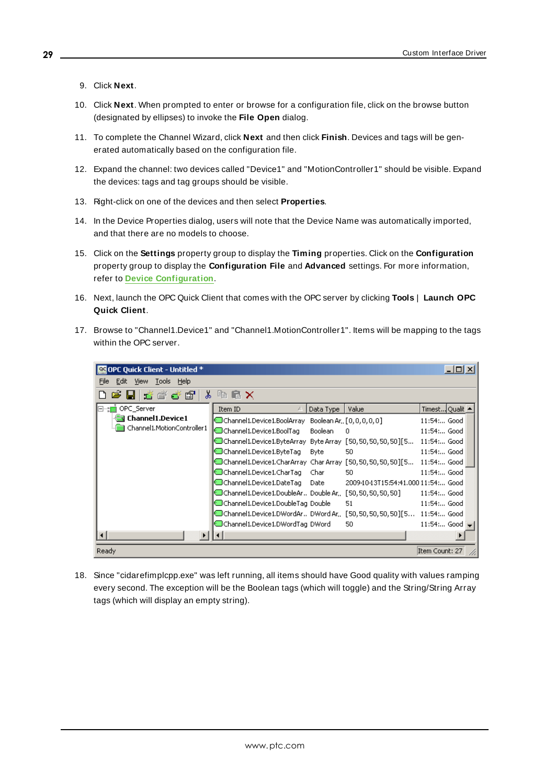- 9. Click **Next**.
- 10. Click **Next**. When prompted to enter or browse for a configuration file, click on the browse button (designated by ellipses) to invoke the **File Open** dialog.
- 11. To complete the Channel Wizard, click **Next** and then click **Finish**. Devices and tags will be generated automatically based on the configuration file.
- 12. Expand the channel: two devices called "Device1" and "MotionController1" should be visible. Expand the devices: tags and tag groups should be visible.
- 13. Right-click on one of the devices and then select **Properties**.
- 14. In the Device Properties dialog, users will note that the Device Name was automatically imported, and that there are no models to choose.
- 15. Click on the **Settings** property group to display the **Timing** properties. Click on the **Configuration** property group to display the **Configuration File** and **Advanced** settings. For more information, refer to **Device [Configuration](#page-12-0)**.
- 16. Next, launch the OPC Quick Client that comes with the OPC server by clicking **Tools** | **Launch OPC Quick Client**.
- 17. Browse to "Channel1.Device1" and "Channel1.MotionController1". Items will be mapping to the tags within the OPC server.

| OPC Quick Client - Untitled * |                                                                       |           |                                     |                     | $\Box$ o $\times$ |  |
|-------------------------------|-----------------------------------------------------------------------|-----------|-------------------------------------|---------------------|-------------------|--|
| File<br>Edit View Tools Help  |                                                                       |           |                                     |                     |                   |  |
| ∦<br>2 H š š š S              | <b>临暑X</b>                                                            |           |                                     |                     |                   |  |
| OPC_Server                    | Item ID                                                               | Data Type | Value                               | Timest Qualit       |                   |  |
| <b>Channel1.Device1</b>       | Channel1.Device1.BoolArray Boolean Ar, [0,0,0,0,0]                    |           |                                     | 11:54: Good         |                   |  |
| Channel1.MotionController1    | Channel1.Device1.BoolTag                                              | Boolean   | 0                                   | 11:54: Good         |                   |  |
|                               | @Channel1.Device1.ByteArray Byte Array [50,50,50,50,50][5             |           |                                     | 11:54: Good         |                   |  |
|                               | Channel1.Device1.ByteTag                                              | Byte      | 50                                  | 11:54: Good         |                   |  |
|                               | Channel1.Device1.CharArray CharArray [50,50,50,50,50][5 ]             |           |                                     | 11:54: Good         |                   |  |
|                               | Channel 1. Device 1. Char Tag                                         | Char .    | 50                                  | 11:54: Good         |                   |  |
|                               | Channel 1. Device 1. Date Tag                                         | Date      | 2009-10-13T15:54:41.000 11:54: Good |                     |                   |  |
|                               | Channel1.Device1.DoubleAr Double Ar,, [50,50,50,50,50]                |           |                                     | 11:54: Good         |                   |  |
|                               | Channel1,Device1,DoubleTag Double                                     |           | 51                                  | 11:54: Good         |                   |  |
|                               | @Channel1.Device1.DWordAr., DWord Ar., [50,50,50,50,50][5 11:54: Good |           |                                     |                     |                   |  |
|                               | Channel1.Device1.DWordTag DWord                                       |           | 50                                  | 11:54: Good $\vert$ |                   |  |
|                               |                                                                       |           |                                     |                     |                   |  |
| Ready                         |                                                                       |           |                                     | Item Count: 27      |                   |  |

18. Since "cidarefimplcpp.exe" was left running, all items should have Good quality with values ramping every second. The exception will be the Boolean tags (which will toggle) and the String/String Array tags (which will display an empty string).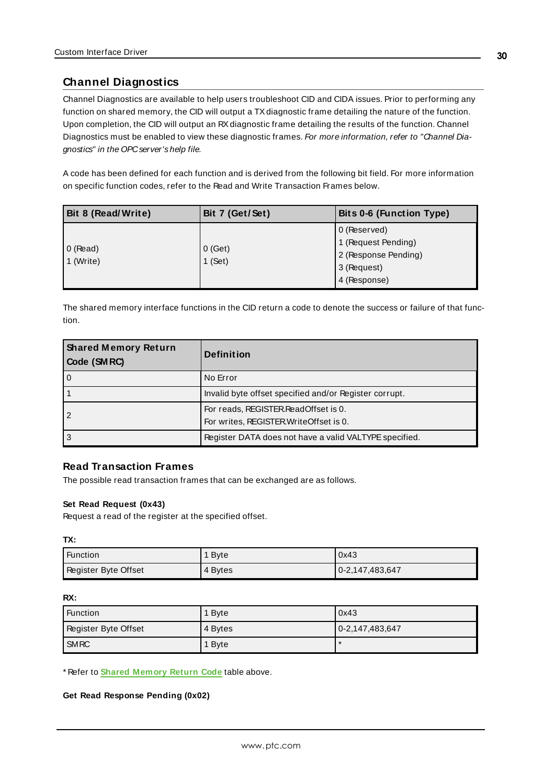## <span id="page-29-0"></span>**Channel Diagnostics**

Channel Diagnostics are available to help users troubleshoot CID and CIDA issues. Prior to performing any function on shared memory, the CID will output a TX diagnostic frame detailing the nature of the function. Upon completion, the CID will output an RXdiagnostic frame detailing the results of the function. Channel Diagnostics must be enabled to view these diagnostic frames. For more information, refer to "Channel Diagnostics" in the OPCserver's help file.

A code has been defined for each function and is derived from the following bit field. For more information on specific function codes, refer to the Read and Write Transaction Frames below.

| <b>Bit 8 (Read/Write)</b> | Bit 7 (Get/Set)                                            | Bits 0-6 (Function Type) |
|---------------------------|------------------------------------------------------------|--------------------------|
|                           |                                                            | 0 (Reserved)             |
|                           |                                                            | 1 (Request Pending)      |
| $0$ (Read)                | 0(Get)<br>2 (Response Pending)<br>$1$ (Set)<br>3 (Request) |                          |
| 1 (Write)                 |                                                            |                          |
|                           |                                                            | 4 (Response)             |

<span id="page-29-1"></span>The shared memory interface functions in the CID return a code to denote the success or failure of that function.

| <b>Shared Memory Return</b><br>Code (SMRC) | <b>Definition</b>                                                               |
|--------------------------------------------|---------------------------------------------------------------------------------|
| $\Omega$                                   | No Error                                                                        |
|                                            | Invalid byte offset specified and/or Register corrupt.                          |
|                                            | For reads, REGISTER ReadOffset is 0.<br>For writes, REGISTER Write Offset is 0. |
| 3                                          | Register DATA does not have a valid VALTYPE specified.                          |

## **Read Transaction Frames**

The possible read transaction frames that can be exchanged are as follows.

#### **Set Read Request (0x43)**

Request a read of the register at the specified offset.

**TX:**

| ' Function           | <b>Byte</b> | 0x43            |
|----------------------|-------------|-----------------|
| Register Byte Offset | 4 Bytes     | 0-2,147,483,647 |

#### **RX:**

| Function             | 1 Byte  | 0x43                  |
|----------------------|---------|-----------------------|
| Register Byte Offset | 4 Bytes | $ 0-2, 147, 483, 647$ |
| <b>SMRC</b>          | 1 Byte  |                       |

\* Refer to **Shared [Memory](#page-29-1) Return Code** table above.

**Get Read Response Pending (0x02)**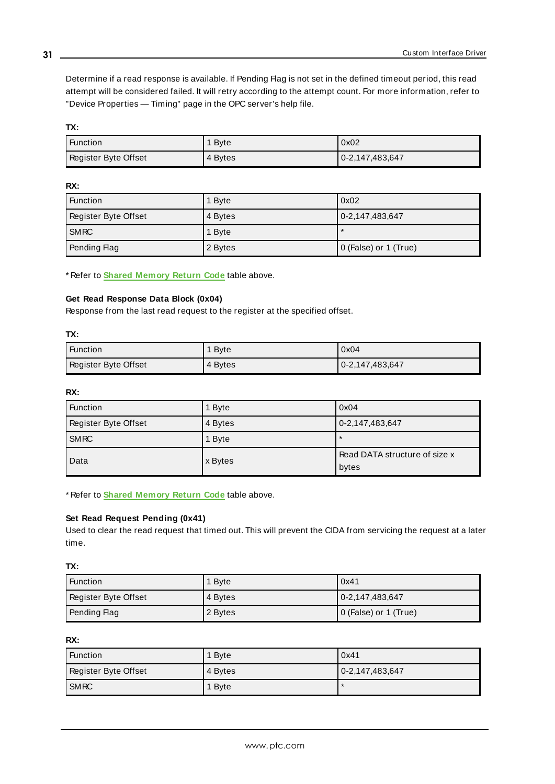Determine if a read response is available. If Pending Flag is not set in the defined timeout period, this read attempt will be considered failed. It will retry according to the attempt count. For more information, refer to "Device Properties — Timing" page in the OPC server's help file.

**TX:**

| Function             | <b>B</b> vte | 0x02            |
|----------------------|--------------|-----------------|
| Register Byte Offset | 4 Bytes      | 0-2,147,483,647 |

#### **RX:**

| <b>Function</b>      | 1 Byte  | 0x02                  |
|----------------------|---------|-----------------------|
| Register Byte Offset | 4 Bytes | 0-2,147,483,647       |
| <b>SMRC</b>          | 1 Byte  |                       |
| Pending Flag         | 2 Bytes | 0 (False) or 1 (True) |

\* Refer to **Shared [Memory](#page-29-1) Return Code** table above.

#### **Get Read Response Data Block (0x04)**

Response from the last read request to the register at the specified offset.

#### **TX:**

| Function             | 1 Byte  | 0x04            |
|----------------------|---------|-----------------|
| Register Byte Offset | 4 Bytes | 0-2,147,483,647 |

#### **RX:**

| <b>Function</b>      | 1 Byte  | 0x04                                   |
|----------------------|---------|----------------------------------------|
| Register Byte Offset | 4 Bytes | $0-2, 147, 483, 647$                   |
| <b>SMRC</b>          | 1 Byte  | $\star$                                |
| Data                 | x Bytes | Read DATA structure of size x<br>bytes |

\* Refer to **Shared [Memory](#page-29-1) Return Code** table above.

### **Set Read Request Pending (0x41)**

Used to clear the read request that timed out. This will prevent the CIDA from servicing the request at a later time.

#### **TX:**

| Function             | <b>B</b> vte | 0x41                  |
|----------------------|--------------|-----------------------|
| Register Byte Offset | 4 Bytes      | $ 0-2, 147, 483, 647$ |
| Pending Flag         | 2 Bytes      | 0 (False) or 1 (True) |

#### **RX:**

| <b>Function</b>      | 1 Byte  | 0x41            |
|----------------------|---------|-----------------|
| Register Byte Offset | 4 Bytes | 0-2,147,483,647 |
| <b>SMRC</b>          | 1 Byte  |                 |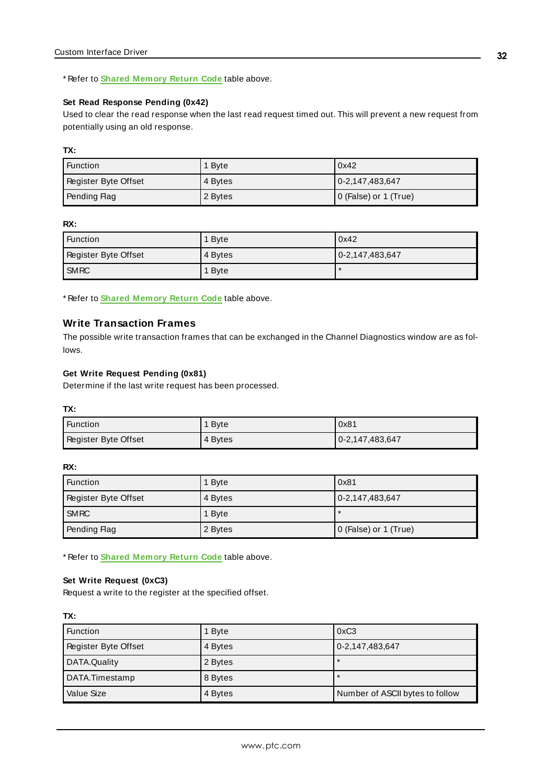#### \* Refer to **Shared [Memory](#page-29-1) Return Code** table above.

#### **Set Read Response Pending (0x42)**

Used to clear the read response when the last read request timed out. This will prevent a new request from potentially using an old response.

#### **TX:**

| Function             | 1 Byte  | 0x42                  |
|----------------------|---------|-----------------------|
| Register Byte Offset | 4 Bytes | $ 0-2, 147, 483, 647$ |
| Pending Flag         | 2 Bytes | 0 (False) or 1 (True) |

#### **RX:**

| Function             | 1 Byte  | 0x42            |
|----------------------|---------|-----------------|
| Register Byte Offset | 4 Bytes | 0-2,147,483,647 |
| <b>SMRC</b>          | 1 Byte  | $\ast$          |

\* Refer to **Shared [Memory](#page-29-1) Return Code** table above.

## **Write Transaction Frames**

The possible write transaction frames that can be exchanged in the Channel Diagnostics window are as follows.

#### **Get Write Request Pending (0x81)**

Determine if the last write request has been processed.

#### **TX:**

| ' Function           | 1 Byte  | 0x81            |
|----------------------|---------|-----------------|
| Register Byte Offset | 4 Bytes | 0-2,147,483,647 |

#### **RX:**

| <b>Function</b>      | 1 Byte  | 0x81                  |
|----------------------|---------|-----------------------|
| Register Byte Offset | 4 Bytes | 0-2,147,483,647       |
| <b>SMRC</b>          | 1 Byte  |                       |
| Pending Flag         | 2 Bytes | 0 (False) or 1 (True) |

\* Refer to **Shared [Memory](#page-29-1) Return Code** table above.

#### **Set Write Request (0xC3)**

Request a write to the register at the specified offset.

| <b>Function</b>      | 1 Byte  | 0xC3                            |
|----------------------|---------|---------------------------------|
| Register Byte Offset | 4 Bytes | 0-2,147,483,647                 |
| DATA.Quality         | 2 Bytes |                                 |
| DATA.Timestamp       | 8 Bytes |                                 |
| Value Size           | 4 Bytes | Number of ASCII bytes to follow |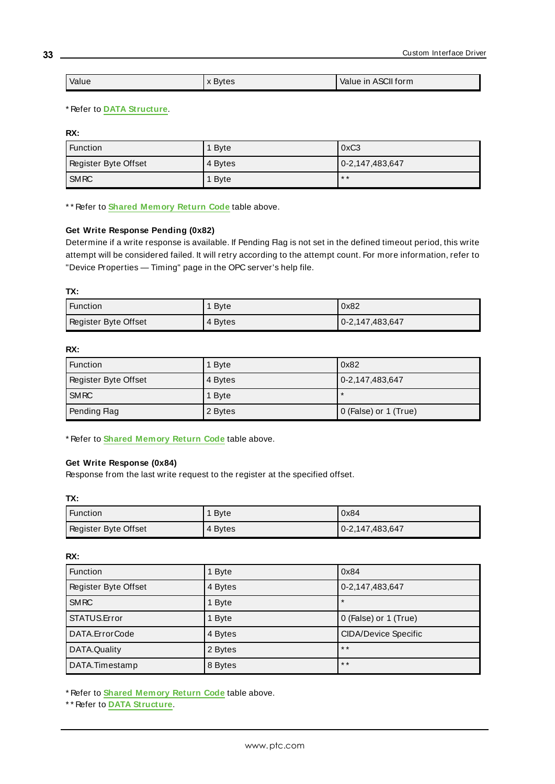| Value | <b>Bytes</b> | Value in ASCII form |
|-------|--------------|---------------------|
|       |              |                     |

#### \* Refer to **DATA [Structure](#page-21-2)**.

**RX:**

| 'Function            | 1 Byte  | 0xC3                  |
|----------------------|---------|-----------------------|
| Register Byte Offset | 4 Bytes | $ 0-2, 147, 483, 647$ |
| <b>SMRC</b>          | 1 Byte  | $* *$                 |

\* \* Refer to **Shared [Memory](#page-29-1) Return Code** table above.

#### **Get Write Response Pending (0x82)**

Determine if a write response is available. If Pending Flag is not set in the defined timeout period, this write attempt will be considered failed. It will retry according to the attempt count. For more information, refer to "Device Properties — Timing" page in the OPC server's help file.

#### **TX:**

| Function             | 1 Byte  | 0x82            |
|----------------------|---------|-----------------|
| Register Byte Offset | 4 Bytes | 0-2,147,483,647 |

#### **RX:**

| <b>Function</b>      | 1 Byte  | 0x82                  |
|----------------------|---------|-----------------------|
| Register Byte Offset | 4 Bytes | 0-2,147,483,647       |
| <b>SMRC</b>          | 1 Byte  |                       |
| Pending Flag         | 2 Bytes | 0 (False) or 1 (True) |

\* Refer to **Shared [Memory](#page-29-1) Return Code** table above.

#### **Get Write Response (0x84)**

Response from the last write request to the register at the specified offset.

**TX:**

| Function             | 1 Byte  | 0x84            |
|----------------------|---------|-----------------|
| Register Byte Offset | 4 Bytes | 0-2,147,483,647 |

#### **RX:**

| <b>Function</b>      | 1 Byte  | 0x84                        |
|----------------------|---------|-----------------------------|
| Register Byte Offset | 4 Bytes | 0-2,147,483,647             |
| <b>SMRC</b>          | 1 Byte  | $\star$                     |
| STATUS.Error         | 1 Byte  | 0 (False) or 1 (True)       |
| DATA.ErrorCode       | 4 Bytes | <b>CIDA/Device Specific</b> |
| DATA.Quality         | 2 Bytes | $* *$                       |
| DATA.Timestamp       | 8 Bytes | $* *$                       |

\* Refer to **Shared [Memory](#page-29-1) Return Code** table above.

\* \* Refer to **DATA [Structure](#page-21-2)**.

**33**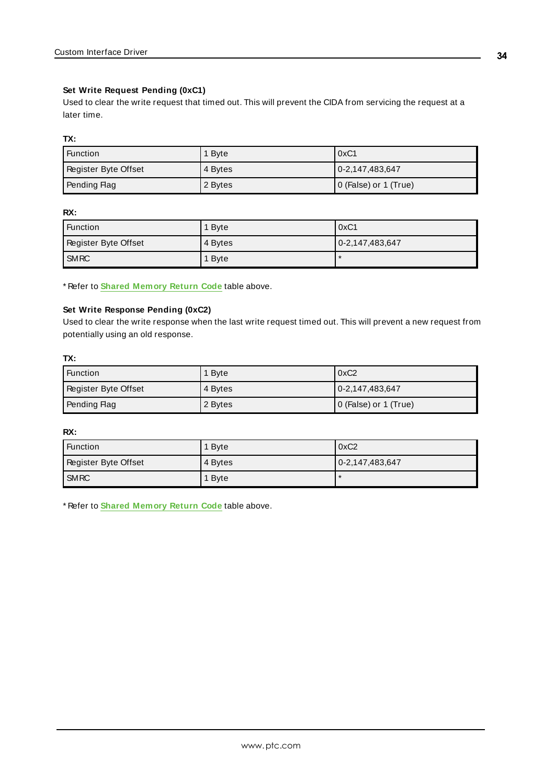#### **Set Write Request Pending (0xC1)**

Used to clear the write request that timed out. This will prevent the CIDA from servicing the request at a later time.

#### **TX:**

| Function             | 1 Byte    | 0xC1                  |
|----------------------|-----------|-----------------------|
| Register Byte Offset | l 4 Bvtes | 0-2,147,483,647       |
| Pending Flag         | 2 Bytes   | 0 (False) or 1 (True) |

#### **RX:**

| 'Function            | 1 Byte  | 0xC1            |
|----------------------|---------|-----------------|
| Register Byte Offset | 4 Bytes | 0-2,147,483,647 |
| <b>SMRC</b>          | 1 Byte  |                 |

\* Refer to **Shared [Memory](#page-29-1) Return Code** table above.

#### **Set Write Response Pending (0xC2)**

Used to clear the write response when the last write request timed out. This will prevent a new request from potentially using an old response.

#### **TX:**

| Function             | 1 Byte  | 0xC2                  |
|----------------------|---------|-----------------------|
| Register Byte Offset | 4 Bytes | 0-2,147,483,647       |
| Pending Flag         | 2 Bytes | 0 (False) or 1 (True) |

#### **RX:**

| <b>Function</b>      | 1 Byte  | 0xC2                  |
|----------------------|---------|-----------------------|
| Register Byte Offset | 4 Bytes | $ 0-2, 147, 483, 647$ |
| <b>SMRC</b>          | 1 Byte  | *                     |

\* Refer to **Shared [Memory](#page-29-1) Return Code** table above.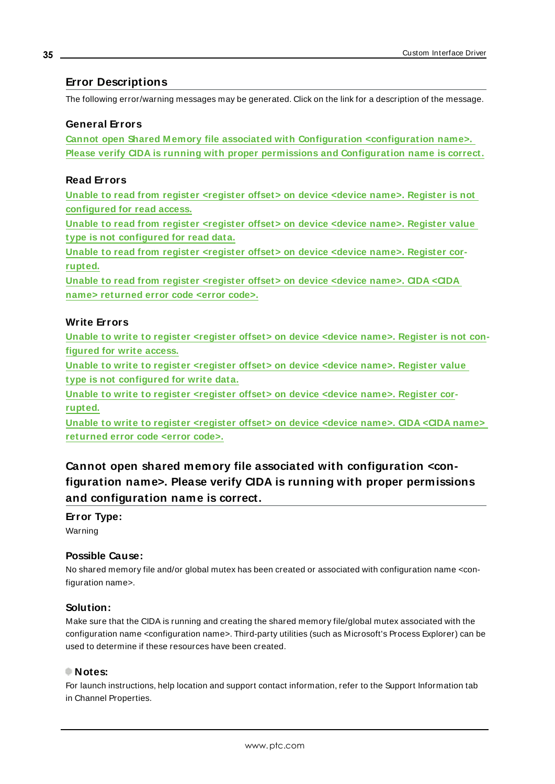### <span id="page-34-0"></span>**Error Descriptions**

The following error/warning messages may be generated. Click on the link for a description of the message.

#### **General Errors**

**Cannot open Shared Memory file associated with Configuration [<configuration](#page-34-1) name>. Please verify CIDA is running with proper permissions and [Configuration](#page-34-1) name is correct.**

## **Read Errors**

**Unable to read from register [<register](#page-35-1) offset> on device <device name>. Register is not [configured](#page-35-1) for read access.**

**Unable to read from register [<register](#page-36-1) offset> on device <device name>. Register value type is not [configured](#page-36-1) for read data.**

**Unable to read from register [<register](#page-35-0) offset> on device <device name>. Register cor[rupted.](#page-35-0)**

**Unable to read from register [<register](#page-36-0) offset> on device <device name>. CIDA <CIDA name> [returned](#page-36-0) error code <error code>.**

## **Write Errors**

**Unable to write to register [<register](#page-36-2) offset> on device <device name>. Register is not con[figured](#page-36-2) for write access.**

**Unable to write to register [<register](#page-37-0) offset> on device <device name>. Register value type is not [configured](#page-37-0) for write data.**

**Unable to write to register [<register](#page-38-0) offset> on device <device name>. Register cor[rupted.](#page-38-0)**

**Unable to write to register [<register](#page-37-1) offset> on device <device name>. CIDA <CIDA name> [returned](#page-37-1) error code <error code>.**

<span id="page-34-1"></span>**Cannot open shared memory file associated with configuration <configuration name>. Please verify CIDA is running with proper permissions and configuration name is correct.**

#### **Error Type:**

Warning

### **Possible Cause:**

No shared memory file and/or global mutex has been created or associated with configuration name <configuration name>.

#### **Solution:**

Make sure that the CIDA is running and creating the shared memory file/global mutex associated with the configuration name <configuration name>. Third-party utilities (such as Microsoft's Process Explorer) can be used to determine if these resources have been created.

#### **Notes:**

For launch instructions, help location and support contact information, refer to the Support Information tab in Channel Properties.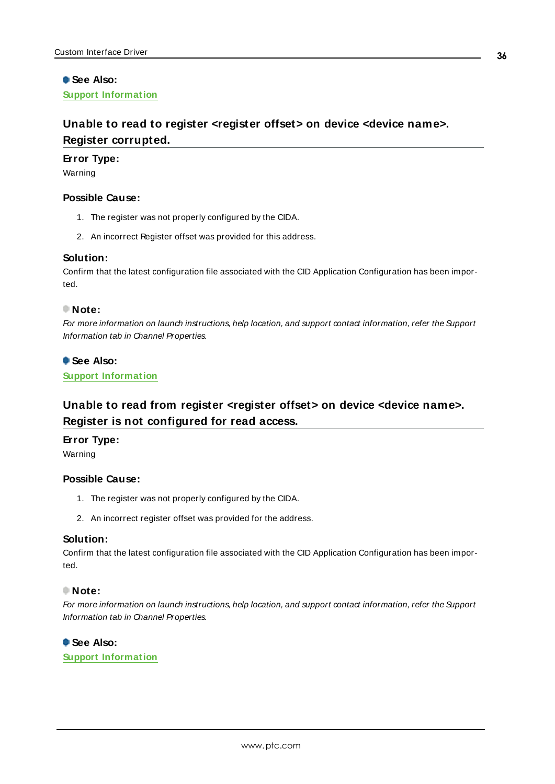## **See Also: Support [Information](#page-8-0)**

## <span id="page-35-0"></span>**Unable to read to register <register offset> on device <device name>. Register corrupted.**

#### **Error Type:**

Warning

#### **Possible Cause:**

- 1. The register was not properly configured by the CIDA.
- 2. An incorrect Register offset was provided for this address.

#### **Solution:**

Confirm that the latest configuration file associated with the CID Application Configuration has been imported.

#### **Note:**

For more information on launch instructions, help location, and support contact information, refer the Support Information tab in Channel Properties.

### **See Also:**

<span id="page-35-1"></span>**Support [Information](#page-8-0)**

## **Unable to read from register <register offset> on device <device name>. Register is not configured for read access.**

## **Error Type:**

Warning

#### **Possible Cause:**

- 1. The register was not properly configured by the CIDA.
- 2. An incorrect register offset was provided for the address.

#### **Solution:**

Confirm that the latest configuration file associated with the CID Application Configuration has been imported.

#### **Note:**

For more information on launch instructions, help location, and support contact information, refer the Support Information tab in Channel Properties.

#### **See Also:**

**Support [Information](#page-8-0)**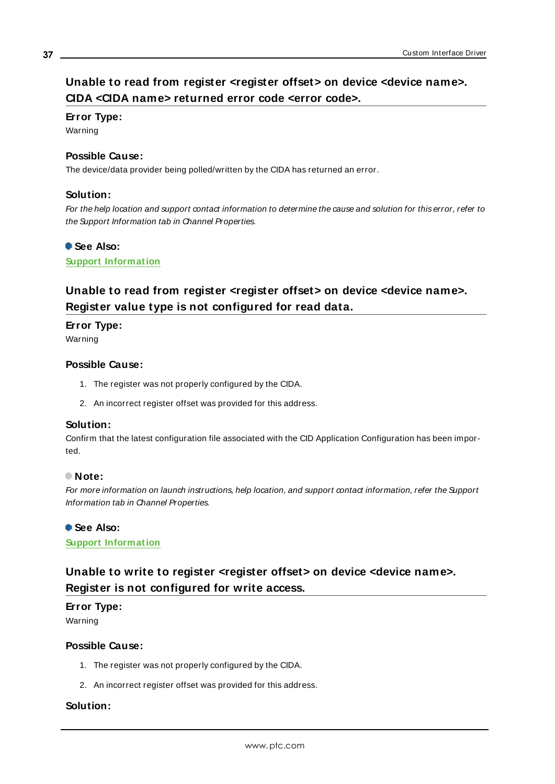## <span id="page-36-0"></span>**Unable to read from register <register offset> on device <device name>. CIDA <CIDA name> returned error code <error code>.**

### **Error Type:**

Warning

### **Possible Cause:**

The device/data provider being polled/written by the CIDA has returned an error.

### **Solution:**

For the help location and support contact information to determine the cause and solution for this error, refer to the Support Information tab in Channel Properties.

#### **See Also:**

<span id="page-36-1"></span>**Support [Information](#page-8-0)**

## **Unable to read from register <register offset> on device <device name>. Register value type is not configured for read data.**

**Error Type:**

Warning

## **Possible Cause:**

- 1. The register was not properly configured by the CIDA.
- 2. An incorrect register offset was provided for this address.

#### **Solution:**

Confirm that the latest configuration file associated with the CID Application Configuration has been imported.

#### **Note:**

For more information on launch instructions, help location, and support contact information, refer the Support Information tab in Channel Properties.

## **See Also:**

<span id="page-36-2"></span>**Support [Information](#page-8-0)**

## **Unable to write to register <register offset> on device <device name>. Register is not configured for write access.**

## **Error Type:**

Warning

### **Possible Cause:**

- 1. The register was not properly configured by the CIDA.
- 2. An incorrect register offset was provided for this address.

## **Solution:**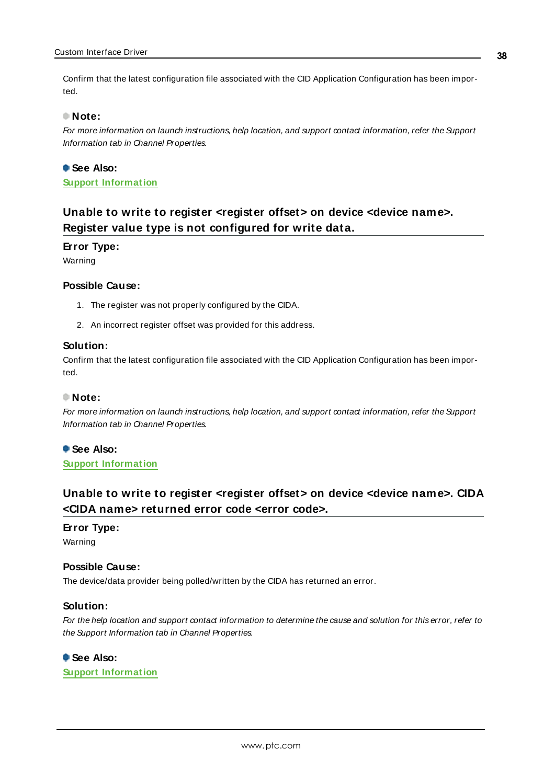Confirm that the latest configuration file associated with the CID Application Configuration has been imported.

#### **Note:**

For more information on launch instructions, help location, and support contact information, refer the Support Information tab in Channel Properties.

**See Also: Support [Information](#page-8-0)**

## <span id="page-37-0"></span>**Unable to write to register <register offset> on device <device name>. Register value type is not configured for write data.**

#### **Error Type:**

Warning

#### **Possible Cause:**

- 1. The register was not properly configured by the CIDA.
- 2. An incorrect register offset was provided for this address.

#### **Solution:**

Confirm that the latest configuration file associated with the CID Application Configuration has been imported.

#### **Note:**

For more information on launch instructions, help location, and support contact information, refer the Support Information tab in Channel Properties.

**See Also: Support [Information](#page-8-0)**

## <span id="page-37-1"></span>**Unable to write to register <register offset> on device <device name>. CIDA <CIDA name> returned error code <error code>.**

#### **Error Type:**

Warning

#### **Possible Cause:**

The device/data provider being polled/written by the CIDA has returned an error.

#### **Solution:**

For the help location and support contact information to determine the cause and solution for this error, refer to the Support Information tab in Channel Properties.

### **See Also:**

**Support [Information](#page-8-0)**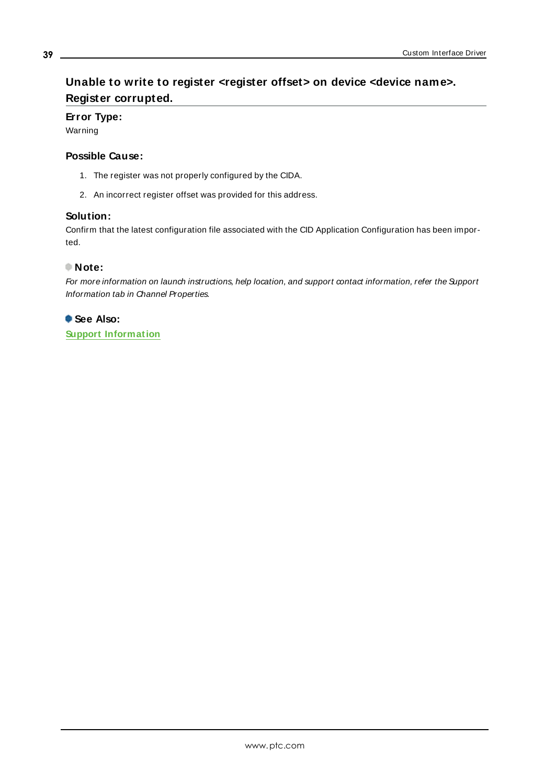## <span id="page-38-0"></span>**Unable to write to register <register offset> on device <device name>. Register corrupted.**

## **Error Type:**

Warning

### **Possible Cause:**

- 1. The register was not properly configured by the CIDA.
- 2. An incorrect register offset was provided for this address.

### **Solution:**

Confirm that the latest configuration file associated with the CID Application Configuration has been imported.

## **Note:**

For more information on launch instructions, help location, and support contact information, refer the Support Information tab in Channel Properties.

**See Also: Support [Information](#page-8-0)**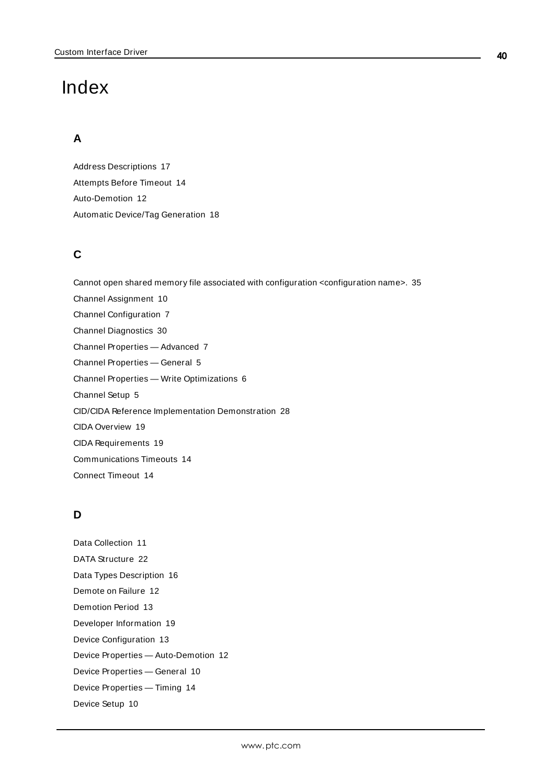# <span id="page-39-0"></span>Index

## **A**

Address Descriptions [17](#page-16-0) Attempts Before Timeout [14](#page-13-2) Auto-Demotion [12](#page-11-1) Automatic Device/Tag Generation [18](#page-17-0)

## **C**

Cannot open shared memory file associated with configuration <configuration name>. [35](#page-34-1) Channel Assignment [10](#page-9-2) Channel Configuration [7](#page-6-1) Channel Diagnostics [30](#page-29-0) Channel Properties — Advanced [7](#page-6-0) Channel Properties — General [5](#page-4-1) Channel Properties — Write Optimizations [6](#page-5-2) Channel Setup [5](#page-4-0) CID/CIDA Reference Implementation Demonstration [28](#page-27-0) CIDA Overview [19](#page-18-1) CIDA Requirements [19](#page-18-2) Communications Timeouts [14](#page-13-3) Connect Timeout [14](#page-13-4)

## **D**

Data Collection [11](#page-10-2) DATA Structure [22](#page-21-2) Data Types Description [16](#page-15-0) Demote on Failure [12](#page-11-2) Demotion Period [13](#page-12-1) Developer Information [19](#page-18-0) Device Configuration [13](#page-12-0) Device Properties — Auto-Demotion [12](#page-11-1) Device Properties — General [10](#page-9-1) Device Properties — Timing [14](#page-13-1) Device Setup [10](#page-9-0)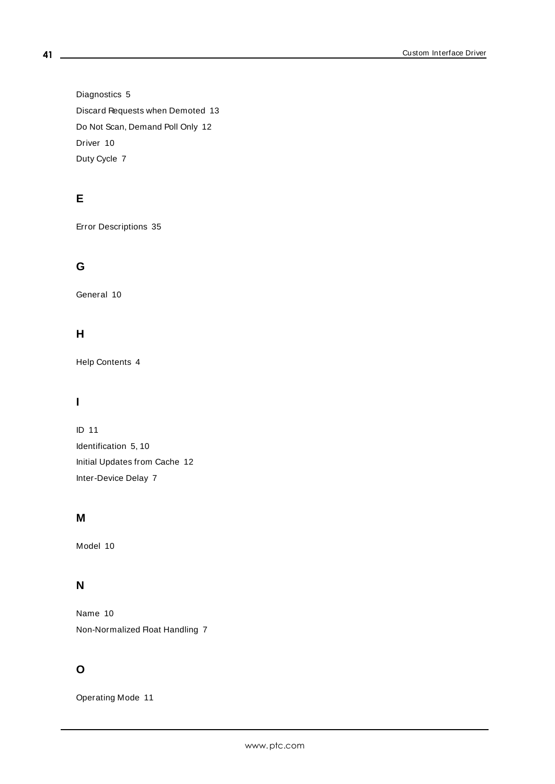Diagnostics [5](#page-4-2) Discard Requests when Demoted [13](#page-12-2) Do Not Scan, Demand Poll Only [12](#page-11-3) Driver [10](#page-9-3) Duty Cycle [7](#page-6-2)

## **E**

Error Descriptions [35](#page-34-0)

## **G**

General [10](#page-9-1)

## **H**

Help Contents [4](#page-3-0)

## **I**

ID [11](#page-10-3) Identification [5,](#page-4-3) [10](#page-9-4) Initial Updates from Cache [12](#page-11-4) Inter-Device Delay [7](#page-6-3)

## **M**

Model [10](#page-9-5)

## **N**

Name [10](#page-9-6) Non-Normalized Float Handling [7](#page-6-4)

## **O**

Operating Mode [11](#page-10-0)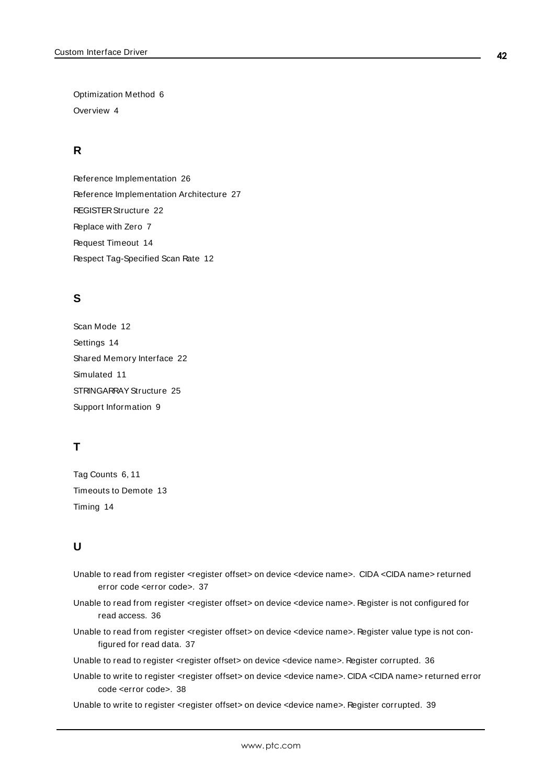Optimization Method [6](#page-5-3) Overview [4](#page-3-1)

## **R**

Reference Implementation [26](#page-25-0) Reference Implementation Architecture [27](#page-26-0) REGISTER Structure [22](#page-21-1) Replace with Zero [7](#page-6-5) Request Timeout [14](#page-13-5) Respect Tag-Specified Scan Rate [12](#page-11-5)

## **S**

Scan Mode [12](#page-11-6) Settings [14](#page-13-0) Shared Memory Interface [22](#page-21-0) Simulated [11](#page-10-4) STRINGARRAY Structure [25](#page-24-0) Support Information [9](#page-8-0)

## **T**

Tag Counts [6,](#page-5-0) [11](#page-10-1) Timeouts to Demote [13](#page-12-3) Timing [14](#page-13-1)

## **U**

- Unable to read from register <register offset> on device <device name>. CIDA <CIDA name> returned error code <error code>. [37](#page-36-0)
- Unable to read from register <register offset> on device <device name>. Register is not configured for read access. [36](#page-35-1)
- Unable to read from register <register offset> on device <device name>. Register value type is not configured for read data. [37](#page-36-1)

Unable to read to register <register offset> on device <device name>. Register corrupted. [36](#page-35-0)

Unable to write to register <register offset> on device <device name>. CIDA <CIDA name> returned error code <error code>. [38](#page-37-1)

Unable to write to register <register offset> on device <device name>. Register corrupted. [39](#page-38-0)